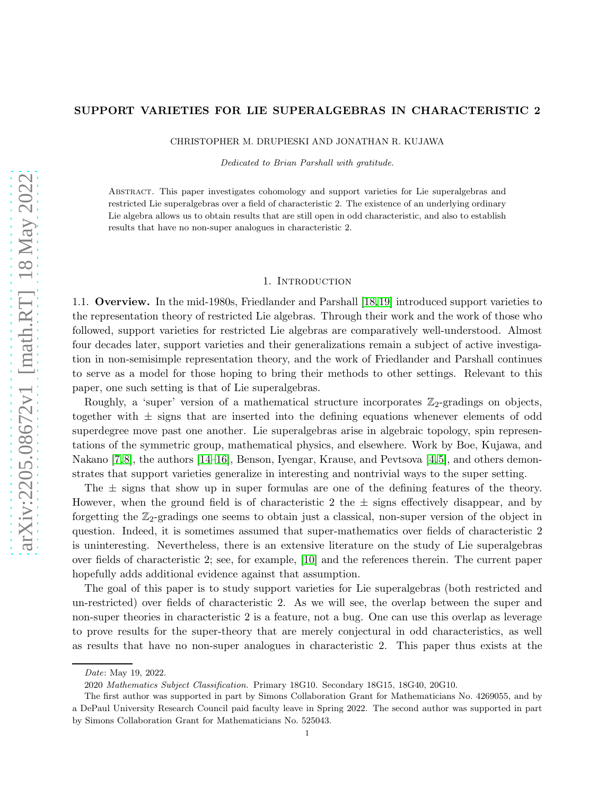## SUPPORT VARIETIES FOR LIE SUPERALGEBRAS IN CHARACTERISTIC 2

CHRISTOPHER M. DRUPIESKI AND JONATHAN R. KUJAWA

Dedicated to Brian Parshall with gratitude.

Abstract. This paper investigates cohomology and support varieties for Lie superalgebras and restricted Lie superalgebras over a field of characteristic 2. The existence of an underlying ordinary Lie algebra allows us to obtain results that are still open in odd characteristic, and also to establish results that have no non-super analogues in characteristic 2.

#### 1. Introduction

1.1. Overview. In the mid-1980s, Friedlander and Parshall [\[18,](#page-21-0)[19\]](#page-22-0) introduced support varieties to the representation theory of restricted Lie algebras. Through their work and the work of those who followed, support varieties for restricted Lie algebras are comparatively well-understood. Almost four decades later, support varieties and their generalizations remain a subject of active investigation in non-semisimple representation theory, and the work of Friedlander and Parshall continues to serve as a model for those hoping to bring their methods to other settings. Relevant to this paper, one such setting is that of Lie superalgebras.

Roughly, a 'super' version of a mathematical structure incorporates  $\mathbb{Z}_2$ -gradings on objects, together with  $\pm$  signs that are inserted into the defining equations whenever elements of odd superdegree move past one another. Lie superalgebras arise in algebraic topology, spin representations of the symmetric group, mathematical physics, and elsewhere. Work by Boe, Kujawa, and Nakano [\[7,](#page-21-1)[8\]](#page-21-2), the authors [\[14](#page-21-3)[–16\]](#page-21-4), Benson, Iyengar, Krause, and Pevtsova [\[4,](#page-21-5)[5\]](#page-21-6), and others demonstrates that support varieties generalize in interesting and nontrivial ways to the super setting.

The  $\pm$  signs that show up in super formulas are one of the defining features of the theory. However, when the ground field is of characteristic 2 the  $\pm$  signs effectively disappear, and by forgetting the  $\mathbb{Z}_2$ -gradings one seems to obtain just a classical, non-super version of the object in question. Indeed, it is sometimes assumed that super-mathematics over fields of characteristic 2 is uninteresting. Nevertheless, there is an extensive literature on the study of Lie superalgebras over fields of characteristic 2; see, for example, [\[10\]](#page-21-7) and the references therein. The current paper hopefully adds additional evidence against that assumption.

The goal of this paper is to study support varieties for Lie superalgebras (both restricted and un-restricted) over fields of characteristic 2. As we will see, the overlap between the super and non-super theories in characteristic 2 is a feature, not a bug. One can use this overlap as leverage to prove results for the super-theory that are merely conjectural in odd characteristics, as well as results that have no non-super analogues in characteristic 2. This paper thus exists at the

Date: May 19, 2022.

<sup>2020</sup> Mathematics Subject Classification. Primary 18G10. Secondary 18G15, 18G40, 20G10.

The first author was supported in part by Simons Collaboration Grant for Mathematicians No. 4269055, and by a DePaul University Research Council paid faculty leave in Spring 2022. The second author was supported in part by Simons Collaboration Grant for Mathematicians No. 525043.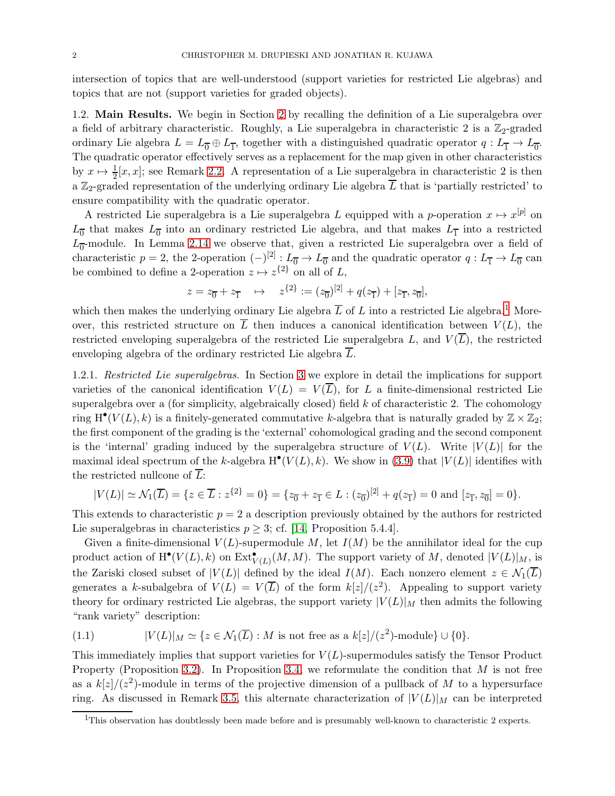intersection of topics that are well-understood (support varieties for restricted Lie algebras) and topics that are not (support varieties for graded objects).

1.2. Main Results. We begin in Section [2](#page-3-0) by recalling the definition of a Lie superalgebra over a field of arbitrary characteristic. Roughly, a Lie superalgebra in characteristic 2 is a  $\mathbb{Z}_2$ -graded ordinary Lie algebra  $L = L_0 \oplus L_{\overline{1}}$ , together with a distinguished quadratic operator  $q: L_{\overline{1}} \to L_{\overline{0}}$ . The quadratic operator effectively serves as a replacement for the map given in other characteristics by  $x \mapsto \frac{1}{2}[x, x]$ ; see Remark [2.2.](#page-4-0) A representation of a Lie superalgebra in characteristic 2 is then a  $\mathbb{Z}_2$ -graded representation of the underlying ordinary Lie algebra  $\overline{L}$  that is 'partially restricted' to ensure compatibility with the quadratic operator.

A restricted Lie superalgebra is a Lie superalgebra L equipped with a p-operation  $x \mapsto x^{[p]}$  on  $L_{\overline{0}}$  that makes  $L_{\overline{0}}$  into an ordinary restricted Lie algebra, and that makes  $L_{\overline{1}}$  into a restricted  $L_{\overline{0}}$ -module. In Lemma [2.14](#page-6-0) we observe that, given a restricted Lie superalgebra over a field of characteristic  $p = 2$ , the 2-operation  $(-)^{[2]}: L_{\overline{0}} \to L_{\overline{0}}$  and the quadratic operator  $q: L_{\overline{1}} \to L_{\overline{0}}$  can be combined to define a 2-operation  $z \mapsto z^{\{2\}}$  on all of L,

$$
z = z_{\overline{0}} + z_{\overline{1}} \quad \mapsto \quad z^{\{2\}} := (z_{\overline{0}})^{[2]} + q(z_{\overline{1}}) + [z_{\overline{1}}, z_{\overline{0}}],
$$

which then makes the underlying ordinary Lie algebra  $\overline{L}$  of L into a restricted Lie algebra.<sup>[1](#page-1-0)</sup> Moreover, this restricted structure on  $\overline{L}$  then induces a canonical identification between  $V(L)$ , the restricted enveloping superalgebra of the restricted Lie superalgebra L, and  $V(\overline{L})$ , the restricted enveloping algebra of the ordinary restricted Lie algebra  $\overline{L}$ .

1.2.1. Restricted Lie superalgebras. In Section [3](#page-7-0) we explore in detail the implications for support varieties of the canonical identification  $V(L) = V(\overline{L})$ , for L a finite-dimensional restricted Lie superalgebra over a (for simplicity, algebraically closed) field  $k$  of characteristic 2. The cohomology ring  $H^{\bullet}(V(L), k)$  is a finitely-generated commutative k-algebra that is naturally graded by  $\mathbb{Z} \times \mathbb{Z}_2$ ; the first component of the grading is the 'external' cohomological grading and the second component is the 'internal' grading induced by the superalgebra structure of  $V(L)$ . Write  $|V(L)|$  for the maximal ideal spectrum of the k-algebra  $H^{\bullet}(V(L), k)$ . We show in [\(3.9\)](#page-9-0) that  $|V(L)|$  identifies with the restricted nullcone of  $\overline{L}$ :

$$
|V(L)| \simeq \mathcal{N}_1(\overline{L}) = \{ z \in \overline{L} : z^{\{2\}} = 0 \} = \{ z_{\overline{0}} + z_{\overline{1}} \in L : (z_{\overline{0}})^{[2]} + q(z_{\overline{1}}) = 0 \text{ and } [z_{\overline{1}}, z_{\overline{0}}] = 0 \}.
$$

This extends to characteristic  $p = 2$  a description previously obtained by the authors for restricted Lie superalgebras in characteristics  $p \geq 3$ ; cf. [\[14,](#page-21-3) Proposition 5.4.4].

Given a finite-dimensional  $V(L)$ -supermodule M, let  $I(M)$  be the annihilator ideal for the cup product action of  $\mathrm{H}^{\bullet}(V(L), k)$  on  $\mathrm{Ext}^{\bullet}_{V(L)}(M, M)$ . The support variety of M, denoted  $|V(L)|_M$ , is the Zariski closed subset of  $|V(L)|$  defined by the ideal  $I(M)$ . Each nonzero element  $z \in \mathcal{N}_1(\overline{L})$ generates a k-subalgebra of  $V(L) = V(\overline{L})$  of the form  $k[z]/(z^2)$ . Appealing to support variety theory for ordinary restricted Lie algebras, the support variety  $|V(L)|_M$  then admits the following "rank variety" description:

<span id="page-1-1"></span>(1.1) 
$$
|V(L)|_M \simeq \{z \in \mathcal{N}_1(\overline{L}) : M \text{ is not free as a } k[z]/(z^2) \text{-module}\} \cup \{0\}.
$$

This immediately implies that support varieties for  $V(L)$ -supermodules satisfy the Tensor Product Property (Proposition [3.2\)](#page-10-0). In Proposition [3.4,](#page-10-1) we reformulate the condition that  $M$  is not free as a  $k[z]/(z^2)$ -module in terms of the projective dimension of a pullback of M to a hypersurface ring. As discussed in Remark [3.5,](#page-11-0) this alternate characterization of  $|V(L)|_M$  can be interpreted

<span id="page-1-0"></span><sup>&</sup>lt;sup>1</sup>This observation has doubtlessly been made before and is presumably well-known to characteristic 2 experts.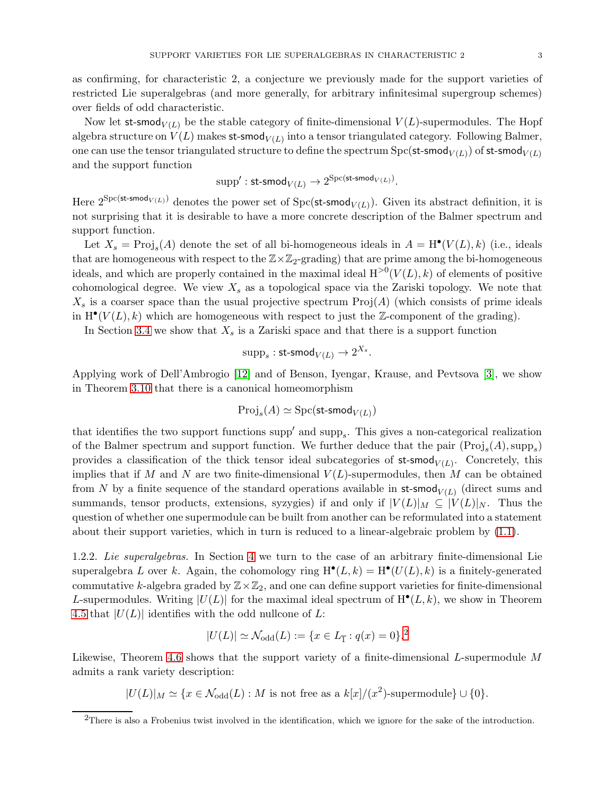as confirming, for characteristic 2, a conjecture we previously made for the support varieties of restricted Lie superalgebras (and more generally, for arbitrary infinitesimal supergroup schemes) over fields of odd characteristic.

Now let st-smod<sub> $V(L)$ </sub> be the stable category of finite-dimensional  $V(L)$ -supermodules. The Hopf algebra structure on  $V(L)$  makes st-smod $_{V(L)}$  into a tensor triangulated category. Following Balmer, one can use the tensor triangulated structure to define the spectrum  $\mathrm{Spc}(\mathsf{st\text{-}smooth}_{V(L)})$  of  $\mathsf{st\text{-}smooth}_{V(L)}$ and the support function

$$
\operatorname{supp}': \operatorname{st-smod}_{V(L)} \to 2^{\operatorname{Spc}(\operatorname{st-smod}_{V(L)})}.
$$

Here  $2^{\text{Spc}(\text{st-smod}_{V(L)})}$  denotes the power set of  $\text{Spc}(\text{st-smod}_{V(L)})$ . Given its abstract definition, it is not surprising that it is desirable to have a more concrete description of the Balmer spectrum and support function.

Let  $X_s = \text{Proj}_s(A)$  denote the set of all bi-homogeneous ideals in  $A = H^{\bullet}(V(L), k)$  (i.e., ideals that are homogeneous with respect to the  $\mathbb{Z}\times\mathbb{Z}_2$ -grading) that are prime among the bi-homogeneous ideals, and which are properly contained in the maximal ideal  $H^{>0}(V(L), k)$  of elements of positive cohomological degree. We view  $X_s$  as a topological space via the Zariski topology. We note that  $X_s$  is a coarser space than the usual projective spectrum  $\text{Proj}(A)$  (which consists of prime ideals in  $H^{\bullet}(V(L), k)$  which are homogeneous with respect to just the Z-component of the grading).

In Section [3.4](#page-13-0) we show that  $X_s$  is a Zariski space and that there is a support function

$$
\text{supp}_s: \textsf{st-smod}_{V(L)} \rightarrow 2^{X_s}.
$$

Applying work of Dell'Ambrogio [\[12\]](#page-21-8) and of Benson, Iyengar, Krause, and Pevtsova [\[3\]](#page-21-9), we show in Theorem [3.10](#page-15-0) that there is a canonical homeomorphism

$$
\mathrm{Proj}_s(A) \simeq \mathrm{Spc}(\mathsf{st\text{-}smod}_{V(L)})
$$

that identifies the two support functions  $\text{supp}'$  and  $\text{supp}_s$ . This gives a non-categorical realization of the Balmer spectrum and support function. We further deduce that the pair  $(Proj_s(A), supp_s)$ provides a classification of the thick tensor ideal subcategories of  $st$ -smod<sub> $V(L)$ </sub>. Concretely, this implies that if M and N are two finite-dimensional  $V(L)$ -supermodules, then M can be obtained from N by a finite sequence of the standard operations available in  $st$ -smod $_{V(L)}$  (direct sums and summands, tensor products, extensions, syzygies) if and only if  $|V(L)|_M \subseteq |V(L)|_N$ . Thus the question of whether one supermodule can be built from another can be reformulated into a statement about their support varieties, which in turn is reduced to a linear-algebraic problem by [\(1.1\)](#page-1-1).

1.2.2. Lie superalgebras. In Section [4](#page-16-0) we turn to the case of an arbitrary finite-dimensional Lie superalgebra L over k. Again, the cohomology ring  $H^{\bullet}(L,k) = H^{\bullet}(U(L),k)$  is a finitely-generated commutative k-algebra graded by  $\mathbb{Z}\times\mathbb{Z}_2$ , and one can define support varieties for finite-dimensional L-supermodules. Writing  $|U(L)|$  for the maximal ideal spectrum of  $H^{\bullet}(L, k)$ , we show in Theorem [4.5](#page-18-0) that  $|U(L)|$  identifies with the odd nullcone of L:

$$
|U(L)| \simeq \mathcal{N}_{\text{odd}}(L) := \{ x \in L_{\overline{1}} : q(x) = 0 \}.
$$
<sup>2</sup>

Likewise, Theorem [4.6](#page-19-0) shows that the support variety of a finite-dimensional L-supermodule M admits a rank variety description:

 $|U(L)|_M \simeq \{x \in \mathcal{N}_{\text{odd}}(L) : M \text{ is not free as a } k[x]/(x^2) \text{-supermodule}\} \cup \{0\}.$ 

<span id="page-2-0"></span><sup>&</sup>lt;sup>2</sup>There is also a Frobenius twist involved in the identification, which we ignore for the sake of the introduction.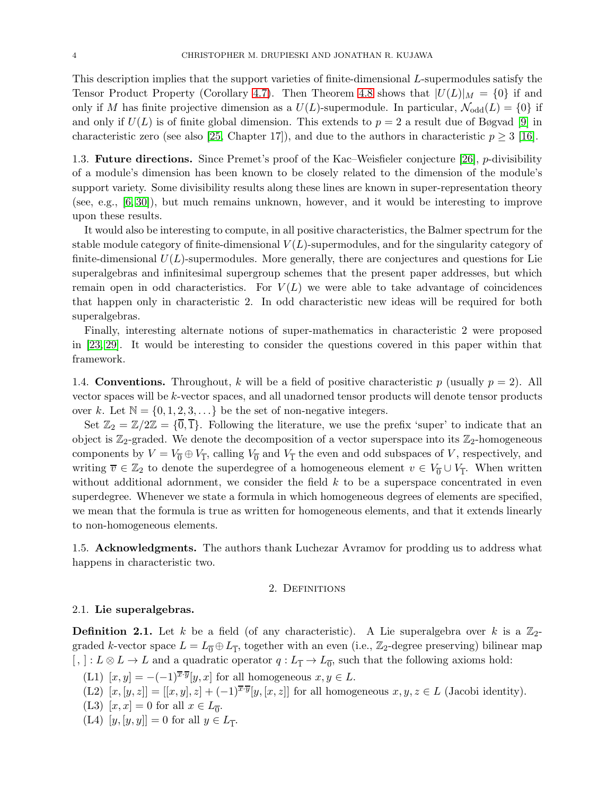This description implies that the support varieties of finite-dimensional L-supermodules satisfy the Tensor Product Property (Corollary [4.7\)](#page-20-0). Then Theorem [4.8](#page-20-1) shows that  $|U(L)|_M = \{0\}$  if and only if M has finite projective dimension as a  $U(L)$ -supermodule. In particular,  $\mathcal{N}_{odd}(L) = \{0\}$  if and only if  $U(L)$  is of finite global dimension. This extends to  $p = 2$  a result due of Bøgvad [\[9\]](#page-21-10) in characteristic zero (see also [\[25,](#page-22-1) Chapter 17]), and due to the authors in characteristic  $p \geq 3$  [\[16\]](#page-21-4).

1.3. Future directions. Since Premet's proof of the Kac–Weisfieler conjecture [\[26\]](#page-22-2), p-divisibility of a module's dimension has been known to be closely related to the dimension of the module's support variety. Some divisibility results along these lines are known in super-representation theory (see, e.g., [\[6,](#page-21-11) [30\]](#page-22-3)), but much remains unknown, however, and it would be interesting to improve upon these results.

It would also be interesting to compute, in all positive characteristics, the Balmer spectrum for the stable module category of finite-dimensional  $V(L)$ -supermodules, and for the singularity category of finite-dimensional  $U(L)$ -supermodules. More generally, there are conjectures and questions for Lie superalgebras and infinitesimal supergroup schemes that the present paper addresses, but which remain open in odd characteristics. For  $V(L)$  we were able to take advantage of coincidences that happen only in characteristic 2. In odd characteristic new ideas will be required for both superalgebras.

Finally, interesting alternate notions of super-mathematics in characteristic 2 were proposed in [\[23,](#page-22-4) [29\]](#page-22-5). It would be interesting to consider the questions covered in this paper within that framework.

1.4. **Conventions.** Throughout, k will be a field of positive characteristic p (usually  $p = 2$ ). All vector spaces will be k-vector spaces, and all unadorned tensor products will denote tensor products over k. Let  $\mathbb{N} = \{0, 1, 2, 3, \ldots\}$  be the set of non-negative integers.

Set  $\mathbb{Z}_2 = \mathbb{Z}/2\mathbb{Z} = {\overline{0}, \overline{1}}$ . Following the literature, we use the prefix 'super' to indicate that an object is  $\mathbb{Z}_2$ -graded. We denote the decomposition of a vector superspace into its  $\mathbb{Z}_2$ -homogeneous components by  $V = V_0 \oplus V_1$ , calling  $V_0$  and  $V_1$  the even and odd subspaces of V, respectively, and writing  $\overline{v} \in \mathbb{Z}_2$  to denote the superdegree of a homogeneous element  $v \in V_0 \cup V_1$ . When written without additional adornment, we consider the field  $k$  to be a superspace concentrated in even superdegree. Whenever we state a formula in which homogeneous degrees of elements are specified, we mean that the formula is true as written for homogeneous elements, and that it extends linearly to non-homogeneous elements.

<span id="page-3-0"></span>1.5. Acknowledgments. The authors thank Luchezar Avramov for prodding us to address what happens in characteristic two.

### 2. DEFINITIONS

#### 2.1. Lie superalgebras.

<span id="page-3-5"></span>**Definition 2.1.** Let k be a field (of any characteristic). A Lie superalgebra over k is a  $\mathbb{Z}_2$ graded k-vector space  $L = L_0 \oplus L_{\overline{1}}$ , together with an even (i.e.,  $\mathbb{Z}_2$ -degree preserving) bilinear map  $[, ]: L \otimes L \to L$  and a quadratic operator  $q: L_{\overline{1}} \to L_{\overline{0}}$ , such that the following axioms hold:

- <span id="page-3-4"></span><span id="page-3-2"></span>(L1)  $[x, y] = -(-1)^{\overline{x} \cdot \overline{y}}[y, x]$  for all homogeneous  $x, y \in L$ .
- <span id="page-3-1"></span>(L2)  $[x,[y,z]] = [[x,y],z] + (-1)^{\overline{x}\cdot\overline{y}}[y,[x,z]]$  for all homogeneous  $x,y,z \in L$  (Jacobi identity).
- <span id="page-3-3"></span>(L3)  $[x, x] = 0$  for all  $x \in L_{0}^{-}$ .
- $(L4)$   $[y, [y, y]] = 0$  for all  $y \in L_{\overline{1}}$ .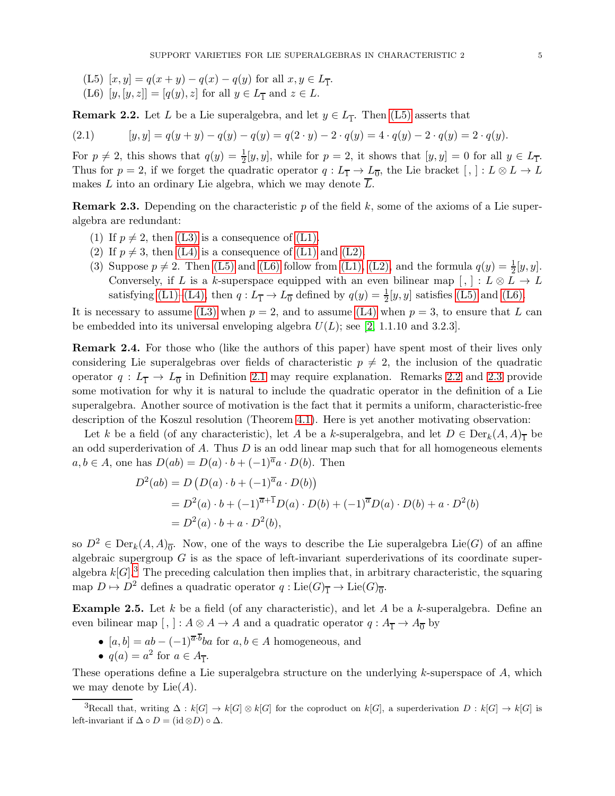- <span id="page-4-2"></span><span id="page-4-1"></span>(L5)  $[x, y] = q(x + y) - q(x) - q(y)$  for all  $x, y \in L_{\overline{1}}$ .
- (L6)  $[y, [y, z]] = [q(y), z]$  for all  $y \in L_{\overline{1}}$  and  $z \in L$ .

<span id="page-4-0"></span>**Remark 2.2.** Let L be a Lie superalgebra, and let  $y \in L_{\overline{1}}$ . Then [\(L5\)](#page-4-1) asserts that

(2.1) 
$$
[y, y] = q(y + y) - q(y) - q(y) = q(2 \cdot y) - 2 \cdot q(y) = 4 \cdot q(y) - 2 \cdot q(y) = 2 \cdot q(y).
$$

For  $p \neq 2$ , this shows that  $q(y) = \frac{1}{2}[y, y]$ , while for  $p = 2$ , it shows that  $[y, y] = 0$  for all  $y \in L_{\overline{1}}$ . Thus for  $p = 2$ , if we forget the quadratic operator  $q: L_{\overline{1}} \to L_{\overline{0}}$ , the Lie bracket  $[, ]: L \otimes L \to L$ makes L into an ordinary Lie algebra, which we may denote  $\overline{L}$ .

<span id="page-4-3"></span>**Remark 2.3.** Depending on the characteristic p of the field k, some of the axioms of a Lie superalgebra are redundant:

- (1) If  $p \neq 2$ , then [\(L3\)](#page-3-1) is a consequence of [\(L1\).](#page-3-2)
- (2) If  $p \neq 3$ , then [\(L4\)](#page-3-3) is a consequence of [\(L1\)](#page-3-2) and [\(L2\).](#page-3-4)
- (3) Suppose  $p \neq 2$ . Then [\(L5\)](#page-4-1) and [\(L6\)](#page-4-2) follow from [\(L1\),](#page-3-2) [\(L2\),](#page-3-4) and the formula  $q(y) = \frac{1}{2}[y, y]$ . Conversely, if L is a k-superspace equipped with an even bilinear map  $[, \, : L \otimes L \rightarrow L$ satisfying [\(L1\)–](#page-3-2)[\(L4\),](#page-3-3) then  $q: L_{\overline{1}} \to L_{\overline{0}}$  defined by  $q(y) = \frac{1}{2}[y, y]$  satisfies [\(L5\)](#page-4-1) and [\(L6\).](#page-4-2)

It is necessary to assume [\(L3\)](#page-3-1) when  $p = 2$ , and to assume [\(L4\)](#page-3-3) when  $p = 3$ , to ensure that L can be embedded into its universal enveloping algebra  $U(L)$ ; see [\[2,](#page-21-12) 1.1.10 and 3.2.3].

Remark 2.4. For those who (like the authors of this paper) have spent most of their lives only considering Lie superalgebras over fields of characteristic  $p \neq 2$ , the inclusion of the quadratic operator  $q: L_{\overline{1}} \to L_{\overline{0}}$  in Definition [2.1](#page-3-5) may require explanation. Remarks [2.2](#page-4-0) and [2.3](#page-4-3) provide some motivation for why it is natural to include the quadratic operator in the definition of a Lie superalgebra. Another source of motivation is the fact that it permits a uniform, characteristic-free description of the Koszul resolution (Theorem [4.1\)](#page-17-0). Here is yet another motivating observation:

Let k be a field (of any characteristic), let A be a k-superalgebra, and let  $D \in \text{Der}_k(A, A)$ <sub>T</sub> be an odd superderivation of  $A$ . Thus  $D$  is an odd linear map such that for all homogeneous elements  $a, b \in A$ , one has  $D(ab) = D(a) \cdot b + (-1)^{\overline{a}} a \cdot D(b)$ . Then

$$
D^{2}(ab) = D (D(a) \cdot b + (-1)^{\overline{a}} a \cdot D(b))
$$
  
=  $D^{2}(a) \cdot b + (-1)^{\overline{a}+\overline{1}} D(a) \cdot D(b) + (-1)^{\overline{a}} D(a) \cdot D(b) + a \cdot D^{2}(b)$   
=  $D^{2}(a) \cdot b + a \cdot D^{2}(b)$ ,

so  $D^2 \in \text{Der}_k(A, A)_{\overline{0}}$ . Now, one of the ways to describe the Lie superalgebra Lie(G) of an affine algebraic supergroup  $G$  is as the space of left-invariant superderivations of its coordinate superalgebra  $k[G]$ .<sup>[3](#page-4-4)</sup> The preceding calculation then implies that, in arbitrary characteristic, the squaring map  $D \mapsto D^2$  defines a quadratic operator  $q: \text{Lie}(G)_{\overline{1}} \to \text{Lie}(G)_{\overline{0}}$ .

**Example 2.5.** Let k be a field (of any characteristic), and let A be a k-superalgebra. Define an even bilinear map [, ] :  $A \otimes A \to A$  and a quadratic operator  $q: A_{\overline{1}} \to A_{\overline{0}}$  by

•  $[a, b] = ab - (-1)^{\overline{a} \cdot b} ba$  for  $a, b \in A$  homogeneous, and •  $q(a) = a^2$  for  $a \in A_{\overline{1}}$ .

These operations define a Lie superalgebra structure on the underlying  $k$ -superspace of  $A$ , which we may denote by  $Lie(A)$ .

<span id="page-4-4"></span><sup>&</sup>lt;sup>3</sup>Recall that, writing  $\Delta : k[G] \to k[G]$  for the coproduct on  $k[G]$ , a superderivation  $D : k[G] \to k[G]$  is left-invariant if  $\Delta \circ D = (\mathrm{id} \otimes D) \circ \Delta$ .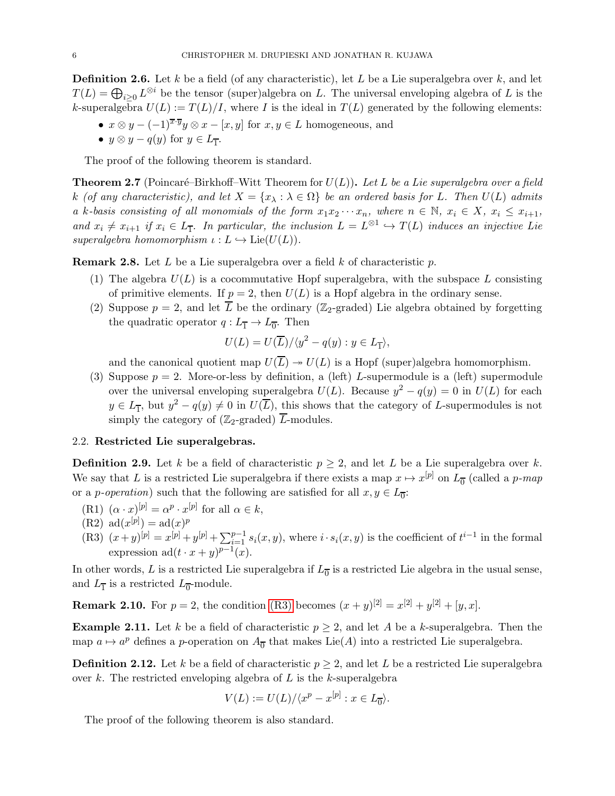**Definition 2.6.** Let k be a field (of any characteristic), let L be a Lie superalgebra over k, and let  $T(L) = \bigoplus_{i \geq 0} L^{\otimes i}$  be the tensor (super)algebra on L. The universal enveloping algebra of L is the k-superalgebra  $U(L) := T(L)/I$ , where I is the ideal in  $T(L)$  generated by the following elements:

•  $x \otimes y - (-1)^{\overline{x} \cdot \overline{y}} y \otimes x - [x, y]$  for  $x, y \in L$  homogeneous, and •  $y \otimes y - q(y)$  for  $y \in L_{\overline{1}}$ .

The proof of the following theorem is standard.

**Theorem 2.7** (Poincaré–Birkhoff–Witt Theorem for  $U(L)$ ). Let L be a Lie superalgebra over a field k (of any characteristic), and let  $X = \{x_{\lambda} : \lambda \in \Omega\}$  be an ordered basis for L. Then  $U(L)$  admits a k-basis consisting of all monomials of the form  $x_1x_2 \cdots x_n$ , where  $n \in \mathbb{N}$ ,  $x_i \in X$ ,  $x_i \leq x_{i+1}$ , and  $x_i \neq x_{i+1}$  if  $x_i \in L_{\overline{1}}$ . In particular, the inclusion  $L = L^{\otimes 1} \hookrightarrow T(L)$  induces an injective Lie superalgebra homomorphism  $\iota: L \hookrightarrow \text{Lie}(U(L)).$ 

**Remark 2.8.** Let L be a Lie superalgebra over a field k of characteristic p.

- (1) The algebra  $U(L)$  is a cocommutative Hopf superalgebra, with the subspace L consisting of primitive elements. If  $p = 2$ , then  $U(L)$  is a Hopf algebra in the ordinary sense.
- (2) Suppose  $p = 2$ , and let  $\overline{L}$  be the ordinary (Z<sub>2</sub>-graded) Lie algebra obtained by forgetting the quadratic operator  $q: L_{\overline{1}} \to L_{\overline{0}}$ . Then

$$
U(L) = U(\overline{L})/\langle y^2 - q(y) : y \in L_{\overline{L}} \rangle,
$$

and the canonical quotient map  $U(\overline{L}) \rightarrow U(L)$  is a Hopf (super)algebra homomorphism.

(3) Suppose  $p = 2$ . More-or-less by definition, a (left) L-supermodule is a (left) supermodule over the universal enveloping superalgebra  $U(L)$ . Because  $y^2 - q(y) = 0$  in  $U(L)$  for each  $y \in L_{\overline{1}}$ , but  $y^2 - q(y) \neq 0$  in  $U(\overline{L})$ , this shows that the category of L-supermodules is not simply the category of ( $\mathbb{Z}_2$ -graded)  $\overline{L}$ -modules.

## 2.2. Restricted Lie superalgebras.

**Definition 2.9.** Let k be a field of characteristic  $p \geq 2$ , and let L be a Lie superalgebra over k. We say that L is a restricted Lie superalgebra if there exists a map  $x \mapsto x^{[p]}$  on  $L_{\overline{0}}$  (called a p-map or a *p*-operation) such that the following are satisfied for all  $x, y \in L_{\overline{0}}$ .

- <span id="page-5-2"></span><span id="page-5-1"></span>(R1)  $(\alpha \cdot x)^{[p]} = \alpha^p \cdot x^{[p]}$  for all  $\alpha \in k$ ,
- <span id="page-5-0"></span> $(R2) \text{ ad}(x^{[p]}) = \text{ad}(x)^p$
- (R3)  $(x+y)^{[p]} = x^{[p]} + y^{[p]} + \sum_{i=1}^{p-1} s_i(x, y)$ , where  $i \cdot s_i(x, y)$  is the coefficient of  $t^{i-1}$  in the formal expression  $ad(t \cdot x + y)^{p-1}(x)$ .

In other words, L is a restricted Lie superalgebra if  $L_{\overline{0}}$  is a restricted Lie algebra in the usual sense, and  $L_{\overline{1}}$  is a restricted  $L_{\overline{0}}$ -module.

**Remark 2.10.** For  $p = 2$ , the condition [\(R3\)](#page-5-0) becomes  $(x + y)^{[2]} = x^{[2]} + y^{[2]} + [y, x]$ .

**Example 2.11.** Let k be a field of characteristic  $p \geq 2$ , and let A be a k-superalgebra. Then the map  $a \mapsto a^p$  defines a p-operation on  $A_{\overline{0}}$  that makes Lie(A) into a restricted Lie superalgebra.

**Definition 2.12.** Let k be a field of characteristic  $p \geq 2$ , and let L be a restricted Lie superalgebra over k. The restricted enveloping algebra of  $L$  is the k-superalgebra

$$
V(L) := U(L) / \langle x^p - x^{[p]} : x \in L_{\overline{0}} \rangle.
$$

The proof of the following theorem is also standard.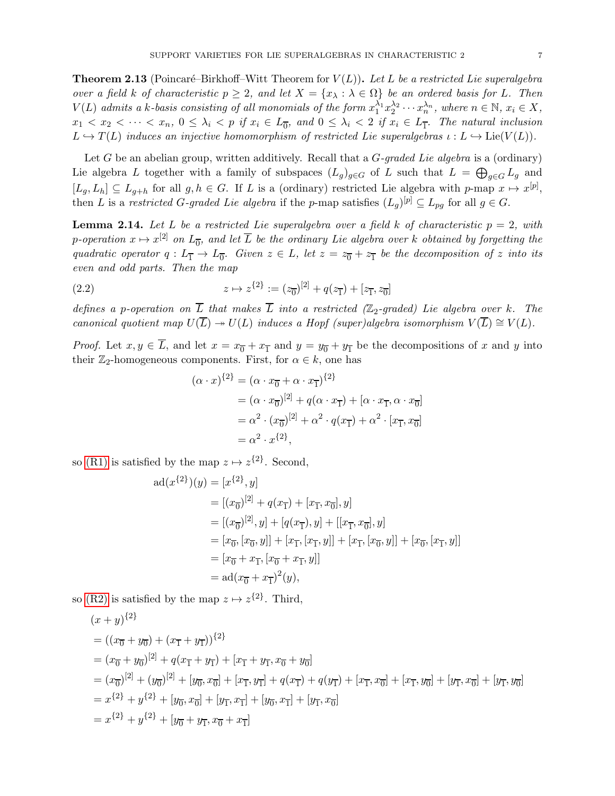<span id="page-6-1"></span>**Theorem 2.13** (Poincaré–Birkhoff–Witt Theorem for  $V(L)$ ). Let L be a restricted Lie superalgebra over a field k of characteristic  $p \geq 2$ , and let  $X = \{x_{\lambda} : \lambda \in \Omega\}$  be an ordered basis for L. Then  $V(L)$  admits a k-basis consisting of all monomials of the form  $x_1^{\lambda_1} x_2^{\lambda_2} \cdots x_n^{\lambda_n}$ , where  $n \in \mathbb{N}$ ,  $x_i \in X$ ,  $x_1 < x_2 < \cdots < x_n$ ,  $0 \leq \lambda_i < p$  if  $x_i \in L_{\overline{0}}$ , and  $0 \leq \lambda_i < 2$  if  $x_i \in L_{\overline{1}}$ . The natural inclusion  $L \hookrightarrow T(L)$  induces an injective homomorphism of restricted Lie superalgebras  $\iota : L \hookrightarrow \text{Lie}(V(L))$ .

Let G be an abelian group, written additively. Recall that a  $G$ -graded Lie algebra is a (ordinary) Lie algebra L together with a family of subspaces  $(L_g)_{g \in G}$  of L such that  $L = \bigoplus_{g \in G} L_g$  and  $[L_g, L_h] \subseteq L_{g+h}$  for all  $g, h \in G$ . If L is a (ordinary) restricted Lie algebra with p-map  $x \mapsto x^{[p]},$ then L is a restricted G-graded Lie algebra if the p-map satisfies  $(L_g)^{[p]} \subseteq L_{pg}$  for all  $g \in G$ .

<span id="page-6-0"></span>**Lemma 2.14.** Let L be a restricted Lie superalgebra over a field k of characteristic  $p = 2$ , with p-operation  $x \mapsto x^{[2]}$  on  $L_{\overline{0}}$ , and let  $\overline{L}$  be the ordinary Lie algebra over k obtained by forgetting the quadratic operator  $q: L_{\overline{1}} \to L_{\overline{0}}$ . Given  $z \in L$ , let  $z = z_{\overline{0}} + z_{\overline{1}}$  be the decomposition of z into its even and odd parts. Then the map

(2.2) 
$$
z \mapsto z^{\{2\}} := (z_{\overline{0}})^{[2]} + q(z_{\overline{1}}) + [z_{\overline{1}}, z_{\overline{0}}]
$$

defines a p-operation on  $\overline{L}$  that makes  $\overline{L}$  into a restricted ( $\mathbb{Z}_2$ -graded) Lie algebra over k. The canonical quotient map  $U(\overline{L}) \rightarrow U(L)$  induces a Hopf (super)algebra isomorphism  $V(\overline{L}) \cong V(L)$ .

*Proof.* Let  $x, y \in L$ , and let  $x = x_0 + x_1$  and  $y = y_0 + y_1$  be the decompositions of x and y into their  $\mathbb{Z}_2$ -homogeneous components. First, for  $\alpha \in k$ , one has

<span id="page-6-2"></span>
$$
(\alpha \cdot x)^{\{2\}} = (\alpha \cdot x_{\overline{0}} + \alpha \cdot x_{\overline{1}})^{\{2\}}
$$
  
=  $(\alpha \cdot x_{\overline{0}})^{[2]} + q(\alpha \cdot x_{\overline{1}}) + [\alpha \cdot x_{\overline{1}}, \alpha \cdot x_{\overline{0}}]$   
=  $\alpha^2 \cdot (x_{\overline{0}})^{[2]} + \alpha^2 \cdot q(x_{\overline{1}}) + \alpha^2 \cdot [x_{\overline{1}}, x_{\overline{0}}]$   
=  $\alpha^2 \cdot x^{\{2\}},$ 

so [\(R1\)](#page-5-1) is satisfied by the map  $z \mapsto z^{\{2\}}$ . Second,

$$
ad(x^{\{2\}})(y) = [x^{\{2\}}, y]
$$
  
\n
$$
= [(x_{\overline{0}})^{[2]} + q(x_{\overline{1}}) + [x_{\overline{1}}, x_{\overline{0}}], y]
$$
  
\n
$$
= [(x_{\overline{0}})^{[2]}, y] + [q(x_{\overline{1}}), y] + [[x_{\overline{1}}, x_{\overline{0}}], y]
$$
  
\n
$$
= [x_{\overline{0}}, [x_{\overline{0}}, y]] + [x_{\overline{1}}, [x_{\overline{1}}, y]] + [x_{\overline{1}}, [x_{\overline{0}}, y]] + [x_{\overline{0}}, [x_{\overline{1}}, y]]
$$
  
\n
$$
= [x_{\overline{0}} + x_{\overline{1}}, [x_{\overline{0}} + x_{\overline{1}}, y]]
$$
  
\n
$$
= ad(x_{\overline{0}} + x_{\overline{1}})^2(y),
$$

so [\(R2\)](#page-5-2) is satisfied by the map  $z \mapsto z^{\{2\}}$ . Third,

$$
(x + y)^{\{2\}}
$$
  
=  $((x_{\overline{0}} + y_{\overline{0}}) + (x_{\overline{1}} + y_{\overline{1}}))^{\{2\}}$   
=  $(x_{\overline{0}} + y_{\overline{0}})^{[2]} + q(x_{\overline{1}} + y_{\overline{1}}) + [x_{\overline{1}} + y_{\overline{1}}, x_{\overline{0}} + y_{\overline{0}}]$   
=  $(x_{\overline{0}})^{[2]} + (y_{\overline{0}})^{[2]} + [y_{\overline{0}}, x_{\overline{0}}] + [x_{\overline{1}}, y_{\overline{1}}] + q(x_{\overline{1}}) + q(y_{\overline{1}}) + [x_{\overline{1}}, x_{\overline{0}}] + [x_{\overline{1}}, y_{\overline{0}}] + [y_{\overline{1}}, x_{\overline{0}}] + [y_{\overline{1}}, y_{\overline{0}}]$   
=  $x^{\{2\}} + y^{\{2\}} + [y_{\overline{0}}, x_{\overline{0}}] + [y_{\overline{1}}, x_{\overline{1}}] + [y_{\overline{0}}, x_{\overline{1}}] + [y_{\overline{1}}, x_{\overline{0}}]$   
=  $x^{\{2\}} + y^{\{2\}} + [y_{\overline{0}} + y_{\overline{1}}, x_{\overline{0}} + x_{\overline{1}}]$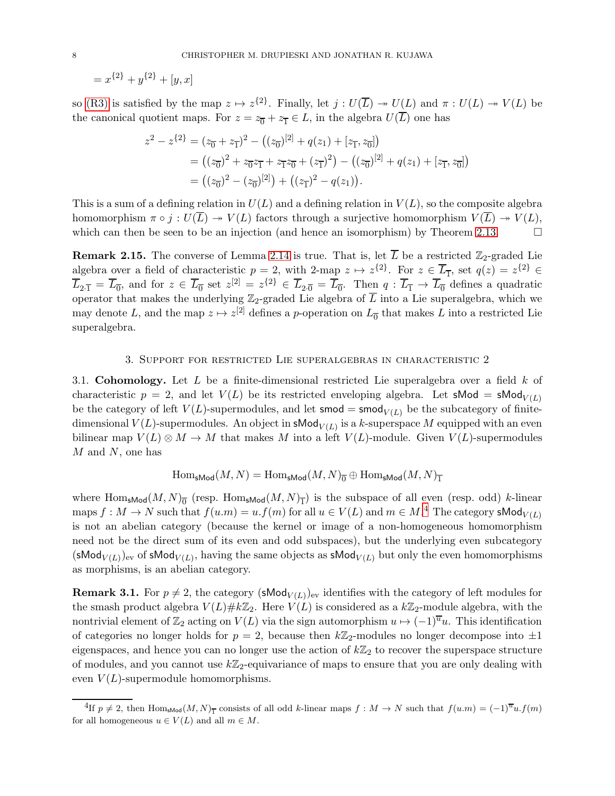$= x^{\{2\}} + y^{\{2\}} + [y, x]$ 

so [\(R3\)](#page-5-0) is satisfied by the map  $z \mapsto z^{\{2\}}$ . Finally, let  $j : U(\overline{L}) \twoheadrightarrow U(\overline{L})$  and  $\pi : U(L) \twoheadrightarrow V(L)$  be the canonical quotient maps. For  $z = z_{\overline{0}} + z_{\overline{1}} \in L$ , in the algebra  $U(\overline{L})$  one has

$$
z^{2} - z^{2} = (z_{0} + z_{1})^{2} - ((z_{0})^{[2]} + q(z_{1}) + [z_{1}, z_{0}])
$$
  
=  $((z_{0})^{2} + z_{0}z_{1} + z_{1}z_{0} + (z_{1})^{2}) - ((z_{0})^{[2]} + q(z_{1}) + [z_{1}, z_{0}])$   
=  $((z_{0})^{2} - (z_{0})^{[2]}) + ((z_{1})^{2} - q(z_{1})).$ 

This is a sum of a defining relation in  $U(L)$  and a defining relation in  $V(L)$ , so the composite algebra homomorphism  $\pi \circ j : U(\overline{L}) \twoheadrightarrow V(L)$  factors through a surjective homomorphism  $V(\overline{L}) \twoheadrightarrow V(L)$ , which can then be seen to be an injection (and hence an isomorphism) by Theorem [2.13.](#page-6-1)  $\Box$ 

**Remark 2.15.** The converse of Lemma [2.14](#page-6-0) is true. That is, let  $\overline{L}$  be a restricted  $\mathbb{Z}_2$ -graded Lie algebra over a field of characteristic  $p = 2$ , with 2-map  $z \mapsto z^{\{2\}}$ . For  $z \in \overline{L}_1$ , set  $q(z) = z^{\{2\}} \in$  $\overline{L}_{2\cdot\overline{1}} = \overline{L}_{\overline{0}}$ , and for  $z \in \overline{L}_{\overline{0}}$  set  $z^{[2]} = z^{[2]} \in \overline{L}_{2\cdot\overline{0}} = \overline{L}_{\overline{0}}$ . Then  $q: \overline{L}_{\overline{1}} \to \overline{L}_{\overline{0}}$  defines a quadratic operator that makes the underlying  $\mathbb{Z}_2$ -graded Lie algebra of  $\overline{L}$  into a Lie superalgebra, which we may denote L, and the map  $z \mapsto z^{[2]}$  defines a p-operation on  $L_{\overline{0}}$  that makes L into a restricted Lie superalgebra.

#### 3. Support for restricted Lie superalgebras in characteristic 2

<span id="page-7-2"></span><span id="page-7-0"></span>3.1. Cohomology. Let  $L$  be a finite-dimensional restricted Lie superalgebra over a field  $k$  of characteristic  $p = 2$ , and let  $V(L)$  be its restricted enveloping algebra. Let sMod = sMod<sub> $V(L)$ </sub> be the category of left  $V(L)$ -supermodules, and let smod = smod<sub> $V(L)$ </sub> be the subcategory of finitedimensional  $V(L)$ -supermodules. An object in **sMod** $_{V(L)}$  is a k-superspace M equipped with an even bilinear map  $V(L) \otimes M \to M$  that makes M into a left  $V(L)$ -module. Given  $V(L)$ -supermodules  $M$  and  $N$ , one has

$$
\operatorname{Hom}_{\mathsf{sMod}}(M, N) = \operatorname{Hom}_{\mathsf{sMod}}(M, N)_{\overline{0}} \oplus \operatorname{Hom}_{\mathsf{sMod}}(M, N)_{\overline{1}}
$$

where  $\text{Hom}_{\text{sMod}}(M, N)_{\overline{0}}$  (resp.  $\text{Hom}_{\text{sMod}}(M, N)_{\overline{1}}$ ) is the subspace of all even (resp. odd) k-linear maps  $f: M \to N$  such that  $f(u.m) = u.f(m)$  for all  $u \in V(L)$  and  $m \in M$ .<sup>[4](#page-7-1)</sup> The category sMod<sub> $V(L)$ </sub> is not an abelian category (because the kernel or image of a non-homogeneous homomorphism need not be the direct sum of its even and odd subspaces), but the underlying even subcategory  $(\mathsf{sMod}_{V(L)})_{\text{ev}}$  of  $\mathsf{sMod}_{V(L)}$ , having the same objects as  $\mathsf{sMod}_{V(L)}$  but only the even homomorphisms as morphisms, is an abelian category.

**Remark 3.1.** For  $p \neq 2$ , the category (sMod<sub>V(L)</sub>)<sub>ev</sub> identifies with the category of left modules for the smash product algebra  $V(L)\#k\mathbb{Z}_2$ . Here  $V(L)$  is considered as a  $k\mathbb{Z}_2$ -module algebra, with the nontrivial element of  $\mathbb{Z}_2$  acting on  $V(L)$  via the sign automorphism  $u \mapsto (-1)^{\overline{u}}u$ . This identification of categories no longer holds for  $p = 2$ , because then  $k\mathbb{Z}_2$ -modules no longer decompose into  $\pm 1$ eigenspaces, and hence you can no longer use the action of  $k\mathbb{Z}_2$  to recover the superspace structure of modules, and you cannot use  $k\mathbb{Z}_2$ -equivariance of maps to ensure that you are only dealing with even  $V(L)$ -supermodule homomorphisms.

<span id="page-7-1"></span><sup>&</sup>lt;sup>4</sup>If  $p \neq 2$ , then Hom<sub>sMod</sub> $(M, N)$ <sub>1</sub> consists of all odd k-linear maps  $f : M \to N$  such that  $f(u.m) = (-1)^{u} u.f(m)$ for all homogeneous  $u \in V(L)$  and all  $m \in M$ .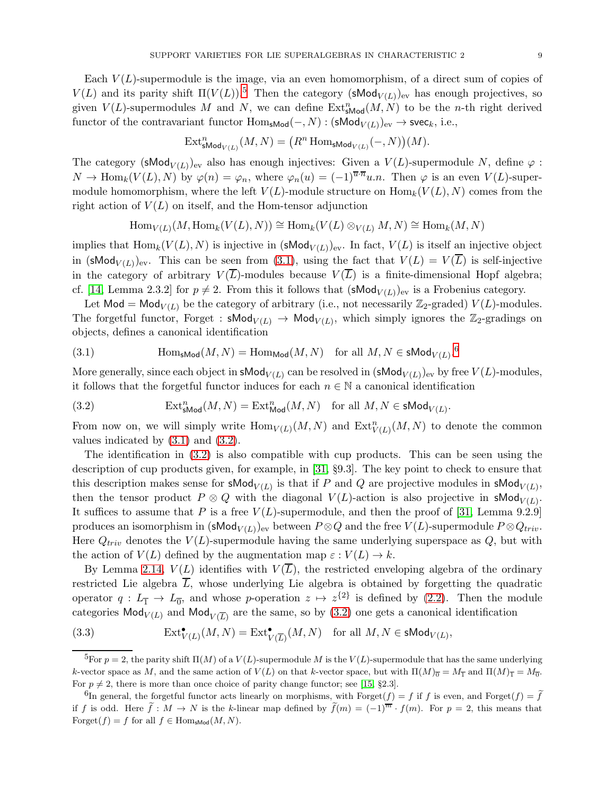Each  $V(L)$ -supermodule is the image, via an even homomorphism, of a direct sum of copies of  $V(L)$  and its parity shift  $\Pi(V(L))$ .<sup>[5](#page-8-0)</sup> Then the category (sMod<sub>V(L)</sub>)<sub>ev</sub> has enough projectives, so given  $V(L)$ -supermodules M and N, we can define  $\text{Ext}^n_{\text{sMod}}(M, N)$  to be the n-th right derived functor of the contravariant functor  $\text{Hom}_{\textsf{sMod}}(-, N) : (\textsf{sMod}_{V(L)})_{\text{ev}} \to \textsf{svec}_k$ , i.e.,

$$
\operatorname{Ext}^n_{\operatorname{sMod}_{V(L)}}(M,N)=\big(R^n\operatorname{Hom}_{\operatorname{sMod}_{V(L)}}(-,N)\big)(M).
$$

The category (sMod<sub>V(L)</sub>)<sub>ev</sub> also has enough injectives: Given a  $V(L)$ -supermodule N, define  $\varphi$ :  $N \to \text{Hom}_k(V(L), N)$  by  $\varphi(n) = \varphi_n$ , where  $\varphi_n(u) = (-1)^{\overline{u} \cdot \overline{n}} u \cdot n$ . Then  $\varphi$  is an even  $V(L)$ -supermodule homomorphism, where the left  $V(L)$ -module structure on  $\text{Hom}_k(V(L), N)$  comes from the right action of  $V(L)$  on itself, and the Hom-tensor adjunction

 $\text{Hom}_{V(L)}(M, \text{Hom}_k(V(L), N)) \cong \text{Hom}_k(V(L) \otimes_{V(L)} M, N) \cong \text{Hom}_k(M, N)$ 

implies that  $\text{Hom}_k(V(L), N)$  is injective in  $(\textsf{sMod}_{V(L)})_{ev}$ . In fact,  $V(L)$  is itself an injective object in (sMod<sub>V(L)</sub>)<sub>ev</sub>. This can be seen from [\(3.1\)](#page-8-1), using the fact that  $V(L) = V(\overline{L})$  is self-injective in the category of arbitrary  $V(L)$ -modules because  $V(L)$  is a finite-dimensional Hopf algebra; cf. [\[14,](#page-21-3) Lemma 2.3.2] for  $p \neq 2$ . From this it follows that  $(\mathsf{sMod}_{V(L)})_{ev}$  is a Frobenius category.

Let Mod = Mod<sub> $V(L)$ </sub> be the category of arbitrary (i.e., not necessarily  $\mathbb{Z}_2$ -graded)  $V(L)$ -modules. The forgetful functor, Forget :  $\mathsf{sMod}_{V(L)} \to \mathsf{Mod}_{V(L)}$ , which simply ignores the  $\mathbb{Z}_2$ -gradings on objects, defines a canonical identification

<span id="page-8-1"></span>(3.1) 
$$
\text{Hom}_{\text{sMod}}(M, N) = \text{Hom}_{\text{Mod}}(M, N) \text{ for all } M, N \in \text{sMod}_{V(L)}^{6}
$$

More generally, since each object in  $\mathsf{sMod}_{V(L)}$  can be resolved in  $(\mathsf{sMod}_{V(L)})_\text{ev}$  by free  $V(L)$ -modules, it follows that the forgetful functor induces for each  $n \in \mathbb{N}$  a canonical identification

<span id="page-8-3"></span>(3.2) 
$$
\operatorname{Ext}^n_{\text{SMod}}(M, N) = \operatorname{Ext}^n_{\text{Mod}}(M, N) \quad \text{for all } M, N \in \text{sMod}_{V(L)}.
$$

From now on, we will simply write  $\text{Hom}_{V(L)}(M, N)$  and  $\text{Ext}^n_{V(L)}(M, N)$  to denote the common values indicated by [\(3.1\)](#page-8-1) and [\(3.2\)](#page-8-3).

The identification in [\(3.2\)](#page-8-3) is also compatible with cup products. This can be seen using the description of cup products given, for example, in [\[31,](#page-22-6) §9.3]. The key point to check to ensure that this description makes sense for  $\mathsf{sMod}_{V(L)}$  is that if P and Q are projective modules in  $\mathsf{sMod}_{V(L)}$ , then the tensor product  $P \otimes Q$  with the diagonal  $V(L)$ -action is also projective in sMod<sub> $V(L)$ </sub>. It suffices to assume that P is a free  $V(L)$ -supermodule, and then the proof of [\[31,](#page-22-6) Lemma 9.2.9] produces an isomorphism in  $(\mathsf{sMod}_{V(L)})_\text{ev}$  between  $P \otimes Q$  and the free  $V(L)$ -supermodule  $P \otimes Q_{triv}$ . Here  $Q_{triv}$  denotes the  $V(L)$ -supermodule having the same underlying superspace as  $Q$ , but with the action of  $V(L)$  defined by the augmentation map  $\varepsilon : V(L) \to k$ .

By Lemma [2.14,](#page-6-0)  $V(L)$  identifies with  $V(\overline{L})$ , the restricted enveloping algebra of the ordinary restricted Lie algebra  $\overline{L}$ , whose underlying Lie algebra is obtained by forgetting the quadratic operator  $q: L_{\overline{1}} \to L_{\overline{0}}$ , and whose p-operation  $z \mapsto z^{\{2\}}$  is defined by [\(2.2\)](#page-6-2). Then the module categories  $\mathsf{Mod}_{V(L)}$  and  $\mathsf{Mod}_{V(\overline{L})}$  are the same, so by  $(3.2)$  one gets a canonical identification

<span id="page-8-4"></span>(3.3) 
$$
\operatorname{Ext}^{\bullet}_{V(L)}(M,N) = \operatorname{Ext}^{\bullet}_{V(\overline{L})}(M,N) \quad \text{for all } M,N \in \mathsf{sMod}_{V(L)},
$$

<span id="page-8-0"></span><sup>&</sup>lt;sup>5</sup>For  $p = 2$ , the parity shift  $\Pi(M)$  of a  $V(L)$ -supermodule M is the  $V(L)$ -supermodule that has the same underlying k-vector space as M, and the same action of  $V(L)$  on that k-vector space, but with  $\Pi(M)_{\overline{0}} = M_{\overline{1}}$  and  $\Pi(M)_{\overline{1}} = M_{\overline{0}}$ . For  $p \neq 2$ , there is more than once choice of parity change functor; see [\[15,](#page-21-13) §2.3].

<span id="page-8-2"></span> $\widehat{f}_{\text{In general, the forgetful functor acts linearly on morphisms, with Forget}(f) = f$  if f is even, and Forget $(f) = \widetilde{f}_{\text{in}}$ if f is odd. Here  $\tilde{f}: M \to N$  is the k-linear map defined by  $\tilde{f}(m) = (-1)^{\overline{m}} \cdot f(m)$ . For  $p = 2$ , this means that Forget $(f) = f$  for all  $f \in \text{Hom}_{\text{sMod}}(M, N)$ .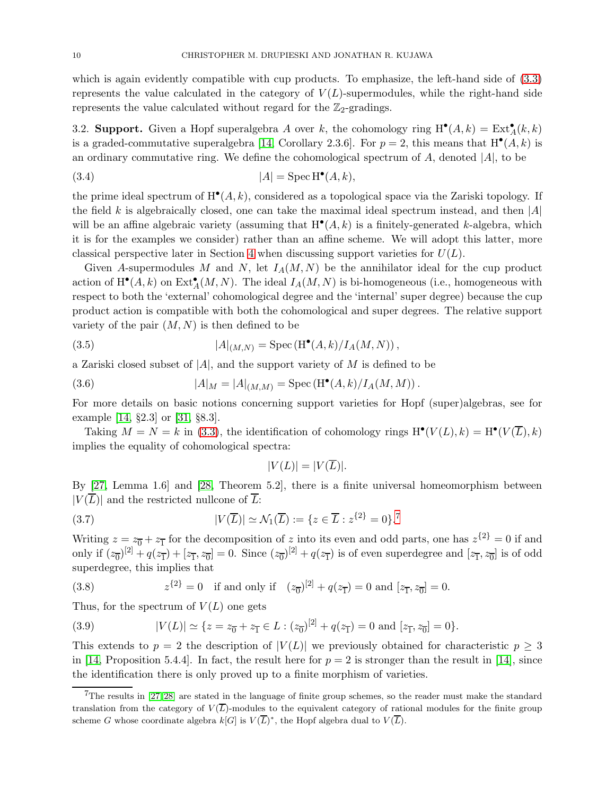which is again evidently compatible with cup products. To emphasize, the left-hand side of  $(3.3)$ represents the value calculated in the category of  $V(L)$ -supermodules, while the right-hand side represents the value calculated without regard for the  $\mathbb{Z}_2$ -gradings.

3.2. Support. Given a Hopf superalgebra A over k, the cohomology ring  $H^{\bullet}(A, k) = Ext^{\bullet}_A(k, k)$ is a graded-commutative superalgebra [\[14,](#page-21-3) Corollary 2.3.6]. For  $p = 2$ , this means that  $H^{\bullet}(A, k)$  is an ordinary commutative ring. We define the cohomological spectrum of  $A$ , denoted  $|A|$ , to be

<span id="page-9-4"></span>(3.4) 
$$
|A| = \operatorname{Spec} \operatorname{H}^{\bullet}(A,k),
$$

the prime ideal spectrum of  $H^{\bullet}(A, k)$ , considered as a topological space via the Zariski topology. If the field k is algebraically closed, one can take the maximal ideal spectrum instead, and then  $|A|$ will be an affine algebraic variety (assuming that  $H^{\bullet}(A, k)$  is a finitely-generated k-algebra, which it is for the examples we consider) rather than an affine scheme. We will adopt this latter, more classical perspective later in Section [4](#page-16-0) when discussing support varieties for  $U(L)$ .

Given A-supermodules M and N, let  $I_A(M, N)$  be the annihilator ideal for the cup product action of  $H^{\bullet}(A, k)$  on  $\text{Ext}_{A}^{\bullet}(M, N)$ . The ideal  $I_{A}(M, N)$  is bi-homogeneous (i.e., homogeneous with respect to both the 'external' cohomological degree and the 'internal' super degree) because the cup product action is compatible with both the cohomological and super degrees. The relative support variety of the pair  $(M, N)$  is then defined to be

(3.5) 
$$
|A|_{(M,N)} = \text{Spec}(\mathcal{H}^{\bullet}(A,k)/I_A(M,N)),
$$

a Zariski closed subset of  $|A|$ , and the support variety of M is defined to be

(3.6) 
$$
|A|_M = |A|_{(M,M)} = \text{Spec}(\mathcal{H}^{\bullet}(A,k)/I_A(M,M)).
$$

For more details on basic notions concerning support varieties for Hopf (super)algebras, see for example [\[14,](#page-21-3) §2.3] or [\[31,](#page-22-6) §8.3].

Taking  $M = N = k$  in [\(3.3\)](#page-8-4), the identification of cohomology rings  $H^{\bullet}(V(L), k) = H^{\bullet}(V(\overline{L}), k)$ implies the equality of cohomological spectra:

<span id="page-9-6"></span><span id="page-9-5"></span><span id="page-9-2"></span>
$$
|V(L)| = |V(\overline{L})|.
$$

By [\[27,](#page-22-7) Lemma 1.6] and [\[28,](#page-22-8) Theorem 5.2], there is a finite universal homeomorphism between  $|V(\overline{L})|$  and the restricted nullcone of  $\overline{L}$ :

(3.7) 
$$
|V(\overline{L})| \simeq \mathcal{N}_1(\overline{L}) := \{ z \in \overline{L} : z^{\{2\}} = 0 \}^{\mathsf{T}}
$$

Writing  $z = z_0 + z_1$  for the decomposition of z into its even and odd parts, one has  $z^{\{2\}} = 0$  if and only if  $(z_0)^{[2]} + q(z_1^-) + [z_1, z_0] = 0$ . Since  $(z_0)^{[2]} + q(z_1^-)$  is of even superdegree and  $[z_1, z_0]$  is of odd superdegree, this implies that

<span id="page-9-3"></span>(3.8) 
$$
z^{\{2\}} = 0
$$
 if and only if  $(z_{\overline{0}})^{[2]} + q(z_{\overline{1}}) = 0$  and  $[z_{\overline{1}}, z_{\overline{0}}] = 0$ .

Thus, for the spectrum of  $V(L)$  one gets

<span id="page-9-0"></span>(3.9) 
$$
|V(L)| \simeq \{z = z_{\overline{0}} + z_{\overline{1}} \in L : (z_{\overline{0}})^{[2]} + q(z_{\overline{1}}) = 0 \text{ and } [z_{\overline{1}}, z_{\overline{0}}] = 0\}.
$$

This extends to  $p = 2$  the description of  $|V(L)|$  we previously obtained for characteristic  $p \geq 3$ in [\[14,](#page-21-3) Proposition 5.4.4]. In fact, the result here for  $p = 2$  is stronger than the result in [\[14\]](#page-21-3), since the identification there is only proved up to a finite morphism of varieties.

<span id="page-9-1"></span> $7$ The results in [\[27,](#page-22-7) [28\]](#page-22-8) are stated in the language of finite group schemes, so the reader must make the standard translation from the category of  $V(\overline{L})$ -modules to the equivalent category of rational modules for the finite group scheme G whose coordinate algebra  $k[G]$  is  $V(\overline{L})^*$ , the Hopf algebra dual to  $V(\overline{L})$ .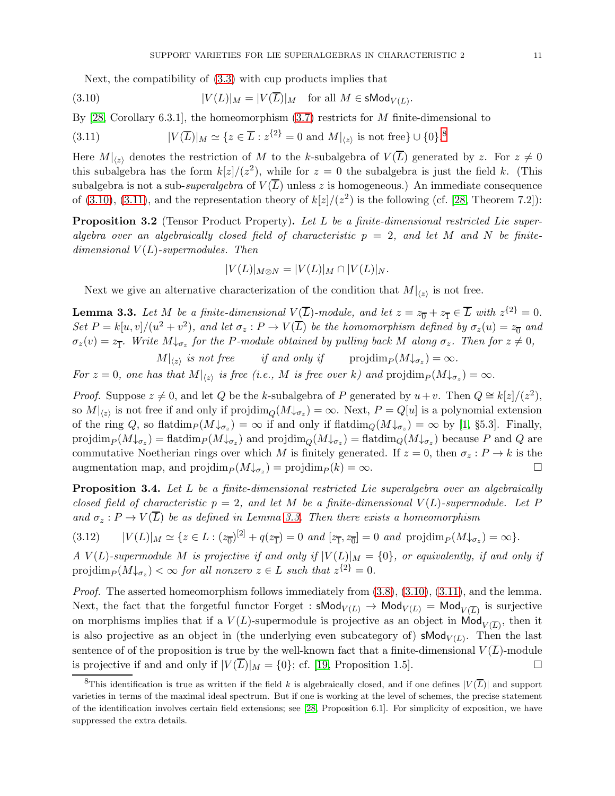<span id="page-10-3"></span>Next, the compatibility of [\(3.3\)](#page-8-4) with cup products implies that

(3.10) 
$$
|V(L)|_M = |V(\overline{L})|_M \text{ for all } M \in \mathsf{sMod}_{V(L)}.
$$

By [\[28,](#page-22-8) Corollary 6.3.1], the homeomorphism  $(3.7)$  restricts for M finite-dimensional to

<span id="page-10-4"></span>(3.11) 
$$
|V(\overline{L})|_M \simeq \{z \in \overline{L} : z^{\{2\}} = 0 \text{ and } M|_{\langle z \rangle} \text{ is not free}\} \cup \{0\}^8
$$

Here  $M|_{\langle z \rangle}$  denotes the restriction of M to the k-subalgebra of  $V(\overline{L})$  generated by z. For  $z \neq 0$ this subalgebra has the form  $k[z]/(z^2)$ , while for  $z = 0$  the subalgebra is just the field k. (This subalgebra is not a sub-superalgebra of  $V(\overline{L})$  unless z is homogeneous.) An immediate consequence of  $(3.10)$ ,  $(3.11)$ , and the representation theory of  $k\left[\frac{z}{z}\right]$  is the following (cf. [\[28,](#page-22-8) Theorem 7.2]):

<span id="page-10-0"></span>**Proposition 3.2** (Tensor Product Property). Let L be a finite-dimensional restricted Lie superalgebra over an algebraically closed field of characteristic  $p = 2$ , and let M and N be finitedimensional  $V(L)$ -supermodules. Then

$$
|V(L)|_{M\otimes N} = |V(L)|_M \cap |V(L)|_N.
$$

Next we give an alternative characterization of the condition that  $M|_{\langle z \rangle}$  is not free.

<span id="page-10-5"></span>**Lemma 3.3.** Let M be a finite-dimensional  $V(\overline{L})$ -module, and let  $z = z_0 + z_1 \in \overline{L}$  with  $z^{\{2\}} = 0$ . Set  $P = k[u, v]/(u^2 + v^2)$ , and let  $\sigma_z : P \to V(\overline{L})$  be the homomorphism defined by  $\sigma_z(u) = z_{\overline{0}}$  and  $\sigma_z(v) = z_{\overline{1}}$ . Write  $M \downarrow_{\sigma_z}$  for the P-module obtained by pulling back M along  $\sigma_z$ . Then for  $z \neq 0$ ,

 $M|_{\langle z \rangle}$  is not free if and only if projdim $_P(M\downarrow_{\sigma_z}) = \infty$ . For  $z = 0$ , one has that  $M|_{\langle z \rangle}$  is free (i.e., M is free over k) and  $\text{projdim}_P (M \downarrow_{\sigma_z}) = \infty$ .

*Proof.* Suppose  $z \neq 0$ , and let Q be the k-subalgebra of P generated by  $u+v$ . Then  $Q \cong k[z]/(z^2)$ , so  $M|_{\langle z \rangle}$  is not free if and only if  $projdim_Q(M\downarrow_{\sigma_z}) = \infty$ . Next,  $P = Q[u]$  is a polynomial extension of the ring Q, so flatdim $_P(M\downarrow_{\sigma_z}) = \infty$  if and only if flatdim $_Q(M\downarrow_{\sigma_z}) = \infty$  by [\[1,](#page-21-14) §5.3]. Finally,  $projdim_P(M\downarrow_{\sigma_z}) = \text{flatdim}_P(M\downarrow_{\sigma_z})$  and  $projdim_Q(M\downarrow_{\sigma_z}) = \text{flatdim}_Q(M\downarrow_{\sigma_z})$  because P and Q are commutative Noetherian rings over which M is finitely generated. If  $z = 0$ , then  $\sigma_z : P \to k$  is the augmentation map, and  $projdim_P(M\downarrow_{\sigma_z}) = projdim_P(k) = \infty$ .

<span id="page-10-1"></span>**Proposition 3.4.** Let L be a finite-dimensional restricted Lie superalgebra over an algebraically closed field of characteristic  $p = 2$ , and let M be a finite-dimensional  $V(L)$ -supermodule. Let P and  $\sigma_z : P \to V(\overline{L})$  be as defined in Lemma [3.3.](#page-10-5) Then there exists a homeomorphism

<span id="page-10-6"></span>
$$
(3.12) \qquad |V(L)|_M \simeq \{ z \in L : (z_0)^{[2]} + q(z_1^-) = 0 \text{ and } [z_1, z_0] = 0 \text{ and } \text{projdim}_P(M\downarrow_{\sigma_z}) = \infty \}.
$$

A V(L)-supermodule M is projective if and only if  $|V(L)|_M = \{0\}$ , or equivalently, if and only if projdim $_P(M\downarrow_{\sigma_z}) < \infty$  for all nonzero  $z \in L$  such that  $z^{\{2\}} = 0$ .

*Proof.* The asserted homeomorphism follows immediately from  $(3.8)$ ,  $(3.10)$ ,  $(3.11)$ , and the lemma. Next, the fact that the forgetful functor Forget :  $sMod_{V(L)} \rightarrow Mod_{V(L)} = Mod_{V(\overline{L})}$  is surjective on morphisms implies that if a  $V(L)$ -supermodule is projective as an object in  $\mathsf{Mod}_{V(\overline{L})}$ , then it is also projective as an object in (the underlying even subcategory of) **sMod** $_{V(L)}$ . Then the last sentence of of the proposition is true by the well-known fact that a finite-dimensional  $V(\overline{L})$ -module is projective if and and only if  $|V(\overline{L})|_M = \{0\}$ ; cf. [\[19,](#page-22-0) Proposition 1.5].

<span id="page-10-2"></span><sup>&</sup>lt;sup>8</sup>This identification is true as written if the field k is algebraically closed, and if one defines  $|V(\overline{L})|$  and support varieties in terms of the maximal ideal spectrum. But if one is working at the level of schemes, the precise statement of the identification involves certain field extensions; see [\[28,](#page-22-8) Proposition 6.1]. For simplicity of exposition, we have suppressed the extra details.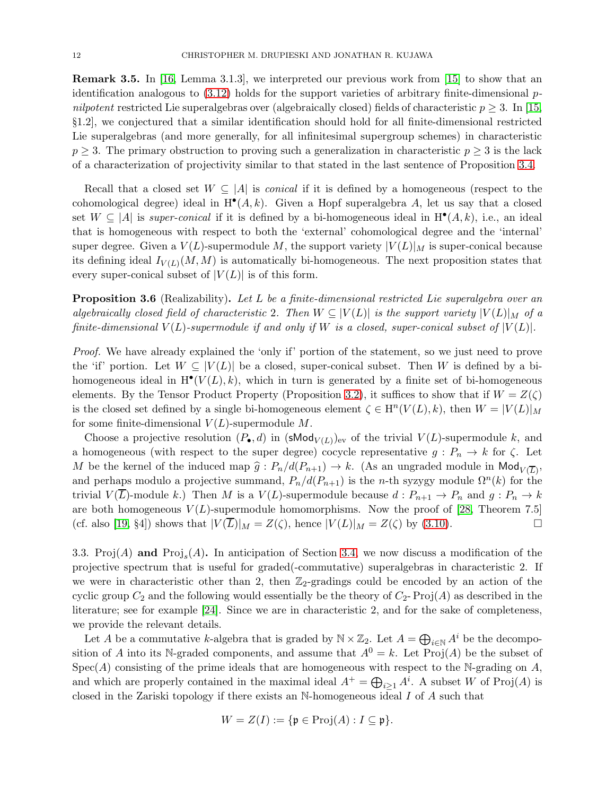<span id="page-11-0"></span>Remark 3.5. In [\[16,](#page-21-4) Lemma 3.1.3], we interpreted our previous work from [\[15\]](#page-21-13) to show that an identification analogous to  $(3.12)$  holds for the support varieties of arbitrary finite-dimensional pnilpotent restricted Lie superalgebras over (algebraically closed) fields of characteristic  $p \geq 3$ . In [\[15,](#page-21-13) §1.2], we conjectured that a similar identification should hold for all finite-dimensional restricted Lie superalgebras (and more generally, for all infinitesimal supergroup schemes) in characteristic  $p \geq 3$ . The primary obstruction to proving such a generalization in characteristic  $p \geq 3$  is the lack of a characterization of projectivity similar to that stated in the last sentence of Proposition [3.4.](#page-10-1)

Recall that a closed set  $W \subseteq |A|$  is *conical* if it is defined by a homogeneous (respect to the cohomological degree) ideal in  $H^{\bullet}(A, k)$ . Given a Hopf superalgebra A, let us say that a closed set  $W \subseteq |A|$  is super-conical if it is defined by a bi-homogeneous ideal in  $H^{\bullet}(A, k)$ , i.e., an ideal that is homogeneous with respect to both the 'external' cohomological degree and the 'internal' super degree. Given a  $V(L)$ -supermodule M, the support variety  $|V(L)|_M$  is super-conical because its defining ideal  $I_{V(L)}(M, M)$  is automatically bi-homogeneous. The next proposition states that every super-conical subset of  $|V(L)|$  is of this form.

<span id="page-11-2"></span>**Proposition 3.6** (Realizability). Let L be a finite-dimensional restricted Lie superalgebra over an algebraically closed field of characteristic 2. Then  $W \subseteq |V(L)|$  is the support variety  $|V(L)|_M$  of a finite-dimensional  $V(L)$ -supermodule if and only if W is a closed, super-conical subset of  $|V(L)|$ .

Proof. We have already explained the 'only if' portion of the statement, so we just need to prove the 'if' portion. Let  $W \subseteq |V(L)|$  be a closed, super-conical subset. Then W is defined by a bihomogeneous ideal in  $H^{\bullet}(V(L), k)$ , which in turn is generated by a finite set of bi-homogeneous elements. By the Tensor Product Property (Proposition [3.2\)](#page-10-0), it suffices to show that if  $W = Z(\zeta)$ is the closed set defined by a single bi-homogeneous element  $\zeta \in H^n(V(L), k)$ , then  $W = |V(L)|_M$ for some finite-dimensional  $V(L)$ -supermodule M.

Choose a projective resolution  $(P_{\bullet}, d)$  in  $(\mathsf{sMod}_{V(L)})_{\text{ev}}$  of the trivial  $V(L)$ -supermodule k, and a homogeneous (with respect to the super degree) cocycle representative  $g: P_n \to k$  for  $\zeta$ . Let M be the kernel of the induced map  $\hat{g}: P_n/d(P_{n+1}) \to k$ . (As an ungraded module in Mod<sub>V( $\overline{L}$ )</sub>, and perhaps modulo a projective summand,  $P_n/d(P_{n+1})$  is the n-th syzygy module  $\Omega^n(k)$  for the trivial  $V(L)$ -module k.) Then M is a  $V(L)$ -supermodule because  $d: P_{n+1} \to P_n$  and  $g: P_n \to k$ are both homogeneous  $V(L)$ -supermodule homomorphisms. Now the proof of [\[28,](#page-22-8) Theorem 7.5] (cf. also [\[19,](#page-22-0) §4]) shows that  $|V(\overline{L})|_M = Z(\zeta)$ , hence  $|V(L)|_M = Z(\zeta)$  by [\(3.10\)](#page-10-3).

<span id="page-11-1"></span>3.3. Proj(A) and  $\text{Proj}_s(A)$ . In anticipation of Section [3.4,](#page-13-0) we now discuss a modification of the projective spectrum that is useful for graded(-commutative) superalgebras in characteristic 2. If we were in characteristic other than 2, then  $\mathbb{Z}_2$ -gradings could be encoded by an action of the cyclic group  $C_2$  and the following would essentially be the theory of  $C_2$ - Proj(A) as described in the literature; see for example [\[24\]](#page-22-9). Since we are in characteristic 2, and for the sake of completeness, we provide the relevant details.

Let A be a commutative k-algebra that is graded by  $\mathbb{N} \times \mathbb{Z}_2$ . Let  $A = \bigoplus_{i \in \mathbb{N}} A^i$  be the decomposition of A into its N-graded components, and assume that  $A^{0} = k$ . Let Proj(A) be the subset of  $Spec(A)$  consisting of the prime ideals that are homogeneous with respect to the N-grading on A, and which are properly contained in the maximal ideal  $A^+ = \bigoplus_{i \geq 1} A^i$ . A subset W of Proj(A) is closed in the Zariski topology if there exists an  $\mathbb{N}$ -homogeneous ideal I of A such that

$$
W = Z(I) := \{ \mathfrak{p} \in \mathrm{Proj}(A) : I \subseteq \mathfrak{p} \}.
$$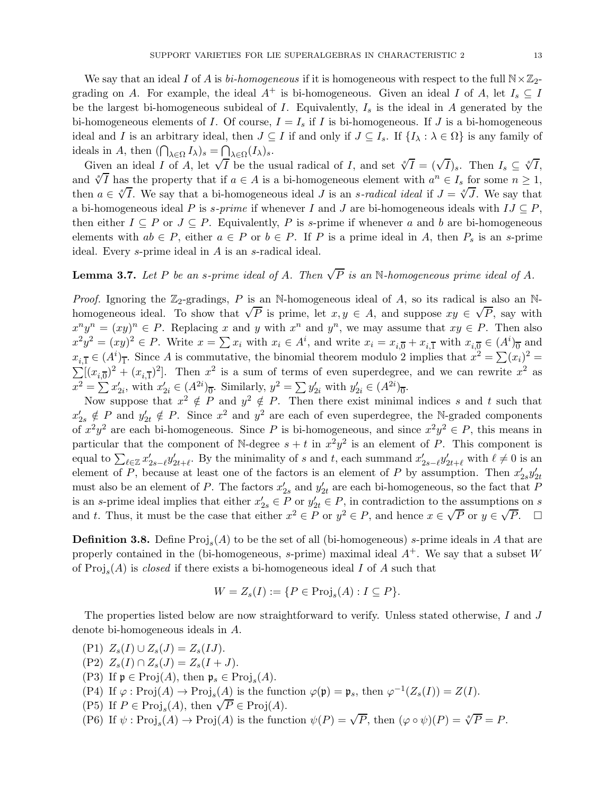We say that an ideal I of A is bi-homogeneous if it is homogeneous with respect to the full  $\mathbb{N}\times\mathbb{Z}_2$ grading on A. For example, the ideal  $A^+$  is bi-homogeneous. Given an ideal I of A, let  $I_s \subseteq I$ be the largest bi-homogeneous subideal of I. Equivalently,  $I_s$  is the ideal in A generated by the bi-homogeneous elements of I. Of course,  $I = I_s$  if I is bi-homogeneous. If J is a bi-homogeneous ideal and I is an arbitrary ideal, then  $J \subseteq I$  if and only if  $J \subseteq I_s$ . If  $\{I_\lambda : \lambda \in \Omega\}$  is any family of ideals in A, then  $(\bigcap_{\lambda \in \Omega} I_{\lambda})_s = \bigcap_{\lambda \in \Omega} (I_{\lambda})_s$ .

Given an ideal I of A, let  $\sqrt{I}$  be the usual radical of I, and set  $\sqrt[e]{I} = (\sqrt{I})_s$ . Then  $I_s \subseteq \sqrt[e]{I}$ , and  $\sqrt[x]{I}$  has the property that if  $a \in A$  is a bi-homogeneous element with  $a^n \in I_s$  for some  $n \geq 1$ , then  $a \in \sqrt[s]{I}$ . We say that a bi-homogeneous ideal J is an s-radical ideal if  $J = \sqrt[s]{J}$ . We say that a bi-homogeneous ideal P is s-prime if whenever I and J are bi-homogeneous ideals with  $IJ \subseteq P$ , then either  $I \subseteq P$  or  $J \subseteq P$ . Equivalently, P is s-prime if whenever a and b are bi-homogeneous elements with  $ab \in P$ , either  $a \in P$  or  $b \in P$ . If P is a prime ideal in A, then  $P_s$  is an s-prime ideal. Every s-prime ideal in A is an s-radical ideal.

# **Lemma 3.7.** Let P be an s-prime ideal of A. Then  $\sqrt{P}$  is an N-homogeneous prime ideal of A.

*Proof.* Ignoring the  $\mathbb{Z}_2$ -gradings, P is an N-homogeneous ideal of A, so its radical is also an Nhomogeneous ideal. To show that  $\sqrt{P}$  is prime, let  $x, y \in A$ , and suppose  $xy \in \sqrt{P}$ , say with  $x^n y^n = (xy)^n \in P$ . Replacing x and y with  $x^n$  and  $y^n$ , we may assume that  $xy \in P$ . Then also  $x^2y^2 = (xy)^2 \in P$ . Write  $x = \sum x_i$  with  $x_i \in A^i$ , and write  $x_i = x_{i,\overline{0}} + x_{i,\overline{1}}$  with  $x_{i,\overline{0}} \in (A^i)_{\overline{0}}$  and  $x_{i,\overline{1}} \in (A^i)_{\overline{1}}$ . Since A is commutative, the binomial theorem modulo 2 implies that  $x^2 = \sum_i (x_i)^2 =$  $\sum_{i}^{\infty}[(x_{i,\overline{0}})^{2} + (x_{i,\overline{1}})^{2}]$ . Then  $x^{2}$  is a sum of terms of even superdegree, and we can rewrite  $x^{2}$  as  $x^2 = \sum x'_{2i}$ , with  $x'_{2i} \in (A^{2i})_0$ . Similarly,  $y^2 = \sum y'_{2i}$  with  $y'_{2i} \in (A^{2i})_0$ .

Now suppose that  $x^2 \notin P$  and  $y^2 \notin P$ . Then there exist minimal indices s and t such that  $x'_{2s} \notin P$  and  $y'_{2t} \notin P$ . Since  $x^2$  and  $y^2$  are each of even superdegree, the N-graded components of  $x^2y^2$  are each bi-homogeneous. Since P is bi-homogeneous, and since  $x^2y^2 \in P$ , this means in particular that the component of N-degree  $s + t$  in  $x^2y^2$  is an element of P. This component is equal to  $\sum_{\ell \in \mathbb{Z}} x'_{2s-\ell} y'_{2t+\ell}$ . By the minimality of s and t, each summand  $x'_{2s-\ell} y'_{2t+\ell}$  with  $\ell \neq 0$  is an element of P, because at least one of the factors is an element of P by assumption. Then  $x'_{2s}y'_{2t}$ must also be an element of P. The factors  $x'_{2s}$  and  $y'_{2t}$  are each bi-homogeneous, so the fact that P is an s-prime ideal implies that either  $x'_{2s} \in P$  or  $y'_{2t} \in P$ , in contradiction to the assumptions on s and t. Thus, it must be the case that either  $x^2 \in P$  or  $y^2 \in P$ , and hence  $x \in \sqrt{P}$  or  $y \in \sqrt{P}$ .

**Definition 3.8.** Define  $\text{Proj}_s(A)$  to be the set of all (bi-homogeneous) *s*-prime ideals in A that are properly contained in the (bi-homogeneous, s-prime) maximal ideal  $A^+$ . We say that a subset W of  $\text{Proj}_s(A)$  is *closed* if there exists a bi-homogeneous ideal I of A such that

$$
W = Z_s(I) := \{ P \in \text{Proj}_s(A) : I \subseteq P \}.
$$

The properties listed below are now straightforward to verify. Unless stated otherwise, I and J denote bi-homogeneous ideals in A.

- (P1)  $Z_s(I) \cup Z_s(J) = Z_s(IJ)$ .
- (P2)  $Z_s(I) \cap Z_s(J) = Z_s(I+J).$
- <span id="page-12-0"></span>(P3) If  $\mathfrak{p} \in \text{Proj}(A)$ , then  $\mathfrak{p}_s \in \text{Proj}_s(A)$ .
- (P4) If  $\varphi : \text{Proj}(A) \to \text{Proj}_s(A)$  is the function  $\varphi(\mathfrak{p}) = \mathfrak{p}_s$ , then  $\varphi^{-1}(Z_s(I)) = Z(I)$ .
- <span id="page-12-1"></span>(P5) If  $P \in \text{Proj}_s(A)$ , then  $\sqrt{P} \in \text{Proj}(A)$ .
- (P6) If  $\psi$ : Proj<sub>s</sub> $(A) \to \text{Proj}(A)$  is the function  $\psi(P) = \sqrt{P}$ , then  $(\varphi \circ \psi)(P) = \sqrt[8]{P} = P$ .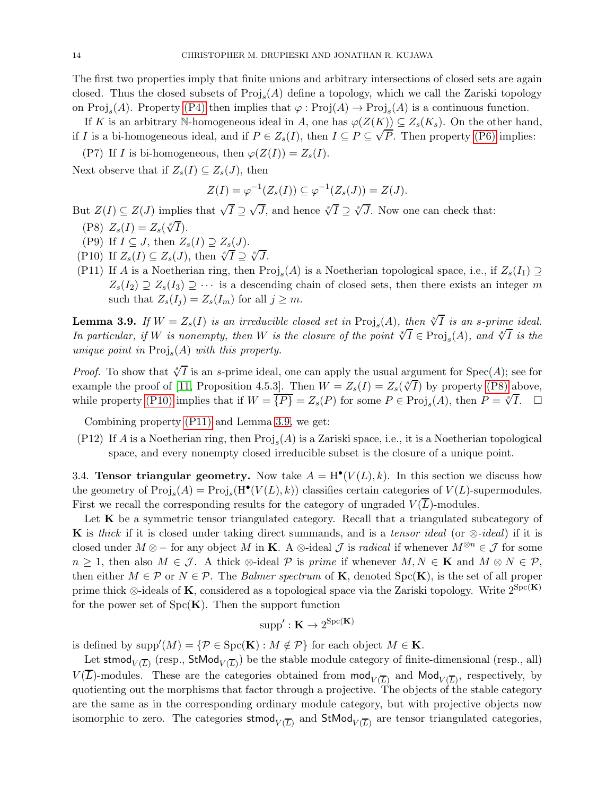The first two properties imply that finite unions and arbitrary intersections of closed sets are again closed. Thus the closed subsets of  $\text{Proj}_s(A)$  define a topology, which we call the Zariski topology on  $\text{Proj}_s(A)$ . Property [\(P4\)](#page-12-0) then implies that  $\varphi : \text{Proj}(A) \to \text{Proj}_s(A)$  is a continuous function.

If K is an arbitrary N-homogeneous ideal in A, one has  $\varphi(Z(K)) \subseteq Z_s(K_s)$ . On the other hand, if I is a bi-homogeneous ideal, and if  $P \in Z_s(I)$ , then  $I \subseteq P \subseteq \sqrt{P}$ . Then property [\(P6\)](#page-12-1) implies:

<span id="page-13-5"></span>(P7) If I is bi-homogeneous, then  $\varphi(Z(I)) = Z_s(I)$ . Next observe that if  $Z_s(I) \subseteq Z_s(J)$ , then

$$
Z(I) = \varphi^{-1}(Z_s(I)) \subseteq \varphi^{-1}(Z_s(J)) = Z(J).
$$

<span id="page-13-1"></span>But  $Z(I) \subseteq Z(J)$  implies that  $\sqrt{I} \supseteq \sqrt{J}$ , and hence  $\sqrt[S]{I} \supseteq \sqrt[S]{J}$ . Now one can check that:

- (P8)  $Z_s(I) = Z_s(\sqrt[s]{I}).$
- <span id="page-13-2"></span>(P9) If  $I \subseteq J$ , then  $Z_s(I) \supseteq Z_s(J)$ .
- <span id="page-13-3"></span>(P10) If  $Z_s(I) \subseteq Z_s(J)$ , then  $\sqrt[s]{I} \supseteq \sqrt[s]{J}$ .
- (P11) If A is a Noetherian ring, then  $\text{Proj}_s(A)$  is a Noetherian topological space, i.e., if  $Z_s(I_1) \supseteq$  $Z_s(I_2) \supseteq Z_s(I_3) \supseteq \cdots$  is a descending chain of closed sets, then there exists an integer m such that  $Z_s(I_i) = Z_s(I_m)$  for all  $j \geq m$ .

<span id="page-13-4"></span>**Lemma 3.9.** If  $W = Z_s(I)$  is an irreducible closed set in  $\text{Proj}_s(A)$ , then  $\sqrt[s]{I}$  is an s-prime ideal. In particular, if W is nonempty, then W is the closure of the point  $\sqrt[s]{I} \in \text{Proj}_s(A)$ , and  $\sqrt[s]{I}$  is the unique point in  $\text{Proj}_s(A)$  with this property.

*Proof.* To show that  $\sqrt[s]{I}$  is an s-prime ideal, one can apply the usual argument for  $Spec(A)$ ; see for example the proof of [\[11,](#page-21-15) Proposition 4.5.3]. Then  $W = Z_s(I) = Z_s(\sqrt[s]{I})$  by property [\(P8\)](#page-13-1) above, while property [\(P10\)](#page-13-2) implies that if  $W = \{P\} = Z_s(P)$  for some  $P \in \text{Proj}_s(A)$ , then  $P = \sqrt[s]{I}$ .

Combining property [\(P11\)](#page-13-3) and Lemma [3.9,](#page-13-4) we get:

(P12) If A is a Noetherian ring, then  $\text{Proj}_s(A)$  is a Zariski space, i.e., it is a Noetherian topological space, and every nonempty closed irreducible subset is the closure of a unique point.

<span id="page-13-0"></span>3.4. Tensor triangular geometry. Now take  $A = H^{\bullet}(V(L), k)$ . In this section we discuss how the geometry of  $\text{Proj}_s(A) = \text{Proj}_s(H^{\bullet}(V(L), k))$  classifies certain categories of  $V(L)$ -supermodules. First we recall the corresponding results for the category of ungraded  $V(\overline{L})$ -modules.

Let  $K$  be a symmetric tensor triangulated category. Recall that a triangulated subcategory of K is thick if it is closed under taking direct summands, and is a tensor ideal (or  $\otimes$ -ideal) if it is closed under  $M \otimes -$  for any object M in **K**. A  $\otimes$ -ideal  $\mathcal J$  is *radical* if whenever  $M^{\otimes n} \in \mathcal J$  for some  $n \geq 1$ , then also  $M \in \mathcal{J}$ . A thick ⊗-ideal P is prime if whenever  $M, N \in \mathbf{K}$  and  $M \otimes N \in \mathcal{P}$ , then either  $M \in \mathcal{P}$  or  $N \in \mathcal{P}$ . The *Balmer spectrum* of **K**, denoted  $\text{Spc}(\mathbf{K})$ , is the set of all proper prime thick ⊗-ideals of K, considered as a topological space via the Zariski topology. Write  $2^{Spc(K)}$ for the power set of  $Spc(K)$ . Then the support function

$$
\mathrm{supp}': \mathbf{K} \to 2^{\mathrm{Spc}(\mathbf{K})}
$$

is defined by  $\text{supp}'(M) = \{ \mathcal{P} \in \text{Spc}(\mathbf{K}) : M \notin \mathcal{P} \}$  for each object  $M \in \mathbf{K}$ .

Let stmod $\mathsf{U}_{V}(\overline{L})$  (resp.,  $\mathsf{StMod}_{V}(\overline{L})$ ) be the stable module category of finite-dimensional (resp., all)  $V(\overline{L})$ -modules. These are the categories obtained from  $mod_{V(\overline{L})}$  and  $Mod_{V(\overline{L})}$ , respectively, by quotienting out the morphisms that factor through a projective. The objects of the stable category are the same as in the corresponding ordinary module category, but with projective objects now isomorphic to zero. The categories  $\mathsf{stmod}_{V(\overline{L})}$  and  $\mathsf{StMod}_{V(\overline{L})}$  are tensor triangulated categories,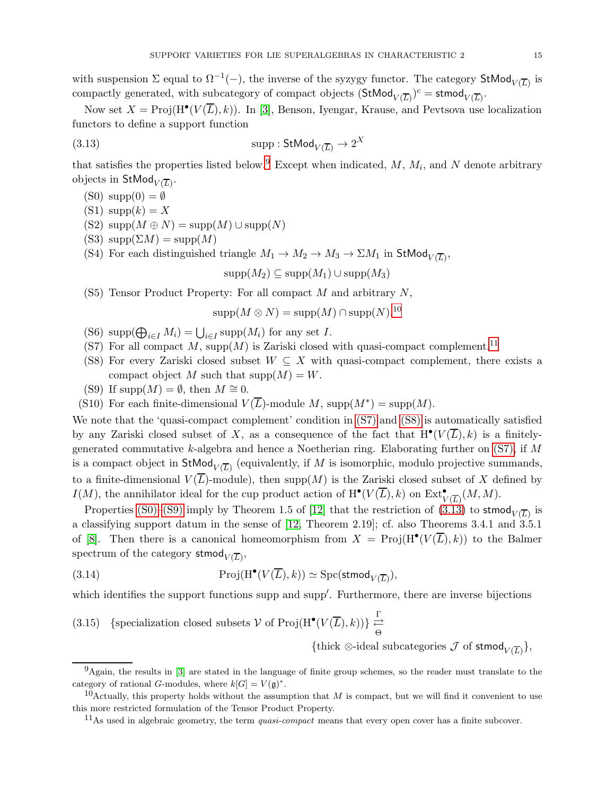with suspension  $\Sigma$  equal to  $\Omega^{-1}(-)$ , the inverse of the syzygy functor. The category  $\mathsf{StMod}_{V(\overline{L})}$  is compactly generated, with subcategory of compact objects  $(\mathsf{StMod}_{V(\overline{L})})^c = \mathsf{stmod}_{V(\overline{L})}$ .

Now set  $X = \text{Proj}(H^{\bullet}(V(\overline{L}), k))$ . In [\[3\]](#page-21-9), Benson, Iyengar, Krause, and Pevtsova use localization functors to define a support function

(3.13) 
$$
\text{supp}: \mathsf{StMod}_{V(\overline{L})} \to 2^X
$$

that satisfies the properties listed below.<sup>[9](#page-14-0)</sup> Except when indicated,  $M$ ,  $M_i$ , and  $N$  denote arbitrary objects in  $\mathsf{StMod}_{V(\overline{L})}.$ 

- <span id="page-14-5"></span> $(S0) \text{ supp}(0) = \emptyset$
- $(S1) supp(k) = X$
- (S2)  $\text{supp}(M \oplus N) = \text{supp}(M) \cup \text{supp}(N)$
- (S3)  $supp(\Sigma M) = supp(M)$
- (S4) For each distinguished triangle  $M_1 \to M_2 \to M_3 \to \Sigma M_1$  in  $\mathsf{StMod}_{V(\overline{L})}$ ,

<span id="page-14-7"></span> $\mathrm{supp}(M_2) \subseteq \mathrm{supp}(M_1) \cup \mathrm{supp}(M_3)$ 

<span id="page-14-10"></span> $(S5)$  Tensor Product Property: For all compact M and arbitrary N,

$$
\mathrm{supp}(M \otimes N) = \mathrm{supp}(M) \cap \mathrm{supp}(N).
$$
<sup>10</sup>

- <span id="page-14-3"></span>(S6) supp $(\bigoplus_{i\in I} M_i) = \bigcup_{i\in I} \text{supp}(M_i)$  for any set I.
- <span id="page-14-4"></span>(S7) For all compact  $M$ , supp $(M)$  is Zariski closed with quasi-compact complement.<sup>[11](#page-14-2)</sup>
- <span id="page-14-6"></span>(S8) For every Zariski closed subset  $W \subseteq X$  with quasi-compact complement, there exists a compact object M such that  $\text{supp}(M) = W$ .
- (S9) If supp $(M) = \emptyset$ , then  $M \cong 0$ .
- (S10) For each finite-dimensional  $V(\overline{L})$ -module M, supp $(M^*) = \text{supp}(M)$ .

We note that the 'quasi-compact complement' condition in [\(S7\)](#page-14-3) and [\(S8\)](#page-14-4) is automatically satisfied by any Zariski closed subset of X, as a consequence of the fact that  $H^{\bullet}(V(\overline{L}), k)$  is a finitelygenerated commutative k-algebra and hence a Noetherian ring. Elaborating further on  $(S7)$ , if M is a compact object in  $\mathsf{StMod}_{V(\overline{L})}$  (equivalently, if M is isomorphic, modulo projective summands, to a finite-dimensional  $V(\overline{L})$ -module), then supp $(M)$  is the Zariski closed subset of X defined by  $I(M)$ , the annihilator ideal for the cup product action of  $H^{\bullet}(V(\overline{L}), k)$  on  $\text{Ext}^{\bullet}_{V(\overline{L})}(M, M)$ .

Properties [\(S0\)–](#page-14-5)[\(S9\)](#page-14-6) imply by Theorem 1.5 of [\[12\]](#page-21-8) that the restriction of  $(3.13)$  to stmod $_{V(\overline{L})}$  is a classifying support datum in the sense of [\[12,](#page-21-8) Theorem 2.19]; cf. also Theorems 3.4.1 and 3.5.1 of [\[8\]](#page-21-2). Then there is a canonical homeomorphism from  $X = \text{Proj}(H^{\bullet}(V(\overline{L}),k))$  to the Balmer spectrum of the category  $\mathsf{stmod}_{V(\overline{L})},$ 

(3.14) 
$$
\operatorname{Proj}(\mathrm{H}^{\bullet}(V(\overline{L}),k)) \simeq \mathrm{Spc}(\mathsf{stmod}_{V(\overline{L})}),
$$

which identifies the support functions supp and supp′ . Furthermore, there are inverse bijections

<span id="page-14-9"></span>(3.15) {specialization closed subsets 
$$
V
$$
 of  $\text{Proj}(H^{\bullet}(V(\overline{L}), k))$ }  $\underset{\Theta}{\overset{\Gamma}{\rightleftarrows}}$ 

<span id="page-14-8"></span> $\{\text{thick $\otimes$-ideal subcategories } \mathcal{J} \text{ of } \text{stmod}_{V(\overline{L})}\},$ 

<span id="page-14-0"></span> $9<sup>9</sup>$ Again, the results in [\[3\]](#page-21-9) are stated in the language of finite group schemes, so the reader must translate to the category of rational *G*-modules, where  $k[G] = V(\mathfrak{g})^*$ .

<sup>&</sup>lt;sup>10</sup>Actually, this property holds without the assumption that M is compact, but we will find it convenient to use this more restricted formulation of the Tensor Product Property.

<span id="page-14-2"></span><span id="page-14-1"></span> $11$ As used in algebraic geometry, the term *quasi-compact* means that every open cover has a finite subcover.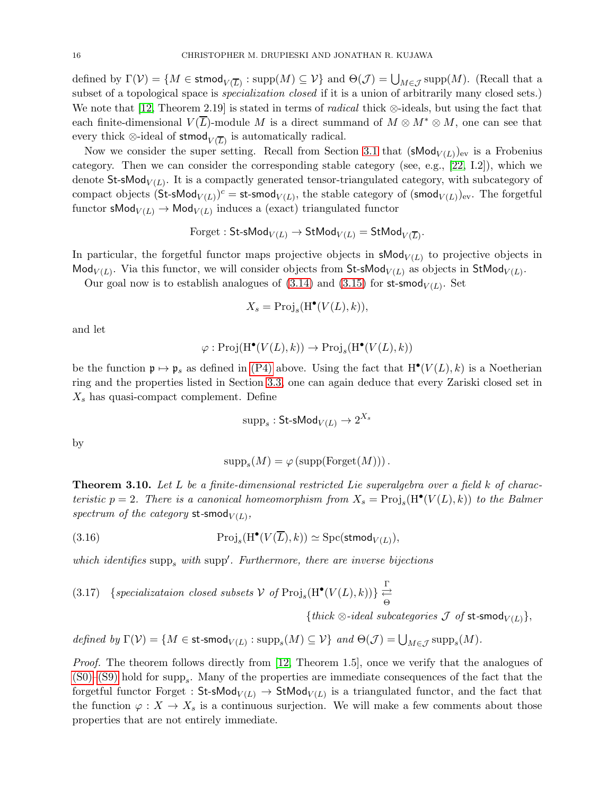defined by  $\Gamma(\mathcal{V}) = \{M \in \mathsf{stmod}_{V(\overline{L})} : \mathrm{supp}(M) \subseteq \mathcal{V}\}\$ and  $\Theta(\mathcal{J}) = \bigcup_{M \in \mathcal{J}} \mathrm{supp}(M)$ . (Recall that a subset of a topological space is *specialization closed* if it is a union of arbitrarily many closed sets.) We note that [\[12,](#page-21-8) Theorem 2.19] is stated in terms of *radical* thick ⊗-ideals, but using the fact that each finite-dimensional  $V(\overline{L})$ -module M is a direct summand of  $M \otimes M^* \otimes M$ , one can see that every thick  $\otimes$ -ideal of stmod $\overline{V(\overline{L})}$  is automatically radical.

Now we consider the super setting. Recall from Section [3.1](#page-7-2) that  $(\mathsf{sMod}_{V(L)})_{\text{ev}}$  is a Frobenius category. Then we can consider the corresponding stable category (see, e.g., [\[22,](#page-22-10) I.2]), which we denote St-sMod<sub> $V(L)$ </sub>. It is a compactly generated tensor-triangulated category, with subcategory of compact objects  $(\text{St-shod}_{V(L)})^c = \text{st-smod}_{V(L)}$ , the stable category of  $(\text{smod}_{V(L)})_{\text{ev}}$ . The forgetful functor  $\mathsf{sMod}_{V(L)} \to \mathsf{Mod}_{V(L)}$  induces a (exact) triangulated functor

$$
\text{Forget}: \mathsf{St}\text{-}\mathsf{sMod}_{V(L)} \to \mathsf{StMod}_{V(L)} = \mathsf{StMod}_{V(\overline{L})}.
$$

In particular, the forgetful functor maps projective objects in  $\mathsf{sMod}_{V(L)}$  to projective objects in Mod<sub> $V(L)$ </sub>. Via this functor, we will consider objects from St-sMod<sub> $V(L)$ </sub> as objects in StMod<sub> $V(L)$ </sub>.

Our goal now is to establish analogues of  $(3.14)$  and  $(3.15)$  for st-smod<sub> $V(L)$ </sub>. Set

$$
X_s = \mathrm{Proj}_s(\mathrm{H}^\bullet(V(L), k)),
$$

and let

$$
\varphi: \mathrm{Proj}(\mathrm{H}^\bullet(V(L),k)) \to \mathrm{Proj}_s(\mathrm{H}^\bullet(V(L),k))
$$

be the function  $\mathfrak{p} \mapsto \mathfrak{p}_s$  as defined in [\(P4\)](#page-12-0) above. Using the fact that  $H^{\bullet}(V(L), k)$  is a Noetherian ring and the properties listed in Section [3.3,](#page-11-1) one can again deduce that every Zariski closed set in  $X_s$  has quasi-compact complement. Define

$$
\text{supp}_s:\mathsf{St}\text{-}\mathsf{sMod}_{V(L)}\to 2^{X_s}
$$

by

<span id="page-15-1"></span>
$$
supp_s(M) = \varphi \left( supp(F orget(M))\right).
$$

<span id="page-15-0"></span>**Theorem 3.10.** Let L be a finite-dimensional restricted Lie superalgebra over a field  $k$  of characteristic  $p = 2$ . There is a canonical homeomorphism from  $X_s = \text{Proj}_s(H^{\bullet}(V(L), k))$  to the Balmer spectrum of the category st-smod $_{V(L)}$ ,

(3.16) 
$$
\operatorname{Proj}_s(\mathrm{H}^{\bullet}(V(\overline{L}),k)) \simeq \operatorname{Spc}(\mathsf{stmod}_{V(L)}),
$$

which identifies  $\text{supp}_s$  with  $\text{supp}'$ . Furthermore, there are inverse bijections

<span id="page-15-2"></span>(3.17) 
$$
\{specialization \ closed \ subsets \ V \ of \ Proj_s(H^{\bullet}(V(L), k)) \} \underset{\Theta}{\overset{\Gamma}{\rightleftarrows}}
$$

{thick  $\otimes$ -ideal subcategories  $\mathcal J$  of st-smod<sub> $V(L)$ </sub>},

defined by  $\Gamma(\mathcal{V}) = \{ M \in \text{st-smod}_{V(L)} : \text{supp}_s(M) \subseteq \mathcal{V} \}$  and  $\Theta(\mathcal{J}) = \bigcup_{M \in \mathcal{J}} \text{supp}_s(M)$ .

Proof. The theorem follows directly from [\[12,](#page-21-8) Theorem 1.5], once we verify that the analogues of  $(S0)$ – $(S9)$  hold for supp<sub>s</sub>. Many of the properties are immediate consequences of the fact that the forgetful functor Forget :  $\mathsf{St}\text{-}\mathsf{SMod}_{V(L)} \to \mathsf{StMod}_{V(L)}$  is a triangulated functor, and the fact that the function  $\varphi: X \to X_s$  is a continuous surjection. We will make a few comments about those properties that are not entirely immediate.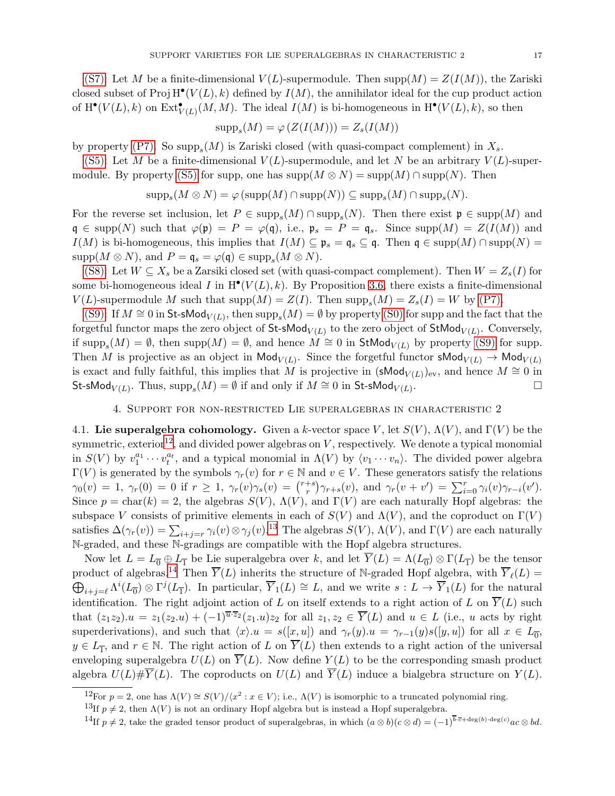[\(S7\):](#page-14-3) Let M be a finite-dimensional  $V(L)$ -supermodule. Then supp $(M) = Z(I(M))$ , the Zariski closed subset of  $\text{Proj } H^{\bullet}(V(L), k)$  defined by  $I(M)$ , the annihilator ideal for the cup product action of  $\mathrm{H}^{\bullet}(V(L), k)$  on  $\mathrm{Ext}^{\bullet}_{V(L)}(M, M)$ . The ideal  $I(M)$  is bi-homogeneous in  $\mathrm{H}^{\bullet}(V(L), k)$ , so then

$$
supp_s(M) = \varphi(Z(I(M))) = Z_s(I(M))
$$

by property [\(P7\).](#page-13-5) So  $\text{supp}_s(M)$  is Zariski closed (with quasi-compact complement) in  $X_s$ .

[\(S5\):](#page-14-10) Let M be a finite-dimensional  $V(L)$ -supermodule, and let N be an arbitrary  $V(L)$ -super-module. By property [\(S5\)](#page-14-10) for supp, one has  $\text{supp}(M \otimes N) = \text{supp}(M) \cap \text{supp}(N)$ . Then

$$
\mathrm{supp}_s(M\otimes N)=\varphi\left(\mathrm{supp}(M)\cap\mathrm{supp}(N)\right)\subseteq \mathrm{supp}_s(M)\cap\mathrm{supp}_s(N).
$$

For the reverse set inclusion, let  $P \in \text{supp}_s(M) \cap \text{supp}_s(N)$ . Then there exist  $\mathfrak{p} \in \text{supp}(M)$  and  $\mathfrak{q} \in \text{supp}(N)$  such that  $\varphi(\mathfrak{p}) = P = \varphi(\mathfrak{q})$ , i.e.,  $\mathfrak{p}_s = P = \mathfrak{q}_s$ . Since  $\text{supp}(M) = Z(I(M))$  and  $I(M)$  is bi-homogeneous, this implies that  $I(M) \subseteq \mathfrak{p}_s = \mathfrak{q}_s \subseteq \mathfrak{q}$ . Then  $\mathfrak{q} \in \text{supp}(M) \cap \text{supp}(N) =$  $\mathrm{supp}(M\otimes N),$  and  $P=\mathfrak{q}_s=\varphi(\mathfrak{q})\in \mathrm{supp}_s(M\otimes N).$ 

[\(S8\):](#page-14-4) Let  $W \subseteq X_s$  be a Zarsiki closed set (with quasi-compact complement). Then  $W = Z_s(I)$  for some bi-homogeneous ideal I in  $H^{\bullet}(V(L), k)$ . By Proposition [3.6,](#page-11-2) there exists a finite-dimensional  $V(L)$ -supermodule M such that  $\text{supp}(M) = Z(I)$ . Then  $\text{supp}_s(M) = Z_s(I) = W$  by [\(P7\).](#page-13-5)

[\(S9\):](#page-14-6) If  $M \cong 0$  in St-sMod<sub>V(L)</sub>, then  $\text{supp}_s(M) = \emptyset$  by property [\(S0\)](#page-14-5) for supp and the fact that the forgetful functor maps the zero object of  $St\text{-}sMod_{V(L)}$  to the zero object of  $StMod_{V(L)}$ . Conversely, if  $\text{supp}_s(M) = \emptyset$ , then  $\text{supp}(M) = \emptyset$ , and hence  $M \cong 0$  in  $\text{StMod}_{V(L)}$  by property [\(S9\)](#page-14-6) for supp. Then M is projective as an object in  $\mathsf{Mod}_{V(L)}$ . Since the forgetful functor  $\mathsf{sMod}_{V(L)} \to \mathsf{Mod}_{V(L)}$ is exact and fully faithful, this implies that M is projective in  $(\mathsf{sMod}_{V(L)})_{\text{ev}}$ , and hence  $M \cong 0$  in St-sMod $_{V(L)}$ . Thus,  $\mathrm{supp}_s(M) = \emptyset$  if and only if  $M \cong 0$  in St-sMod $_{V(L)}$ .

## 4. Support for non-restricted Lie superalgebras in characteristic 2

<span id="page-16-0"></span>4.1. Lie superalgebra cohomology. Given a k-vector space V, let  $S(V)$ ,  $\Lambda(V)$ , and  $\Gamma(V)$  be the symmetric, exterior<sup>[12](#page-16-1)</sup>, and divided power algebras on  $V$ , respectively. We denote a typical monomial in  $S(V)$  by  $v_1^{a_1} \cdots v_t^{a_t}$ , and a typical monomial in  $\Lambda(V)$  by  $\langle v_1 \cdots v_n \rangle$ . The divided power algebra  $\Gamma(V)$  is generated by the symbols  $\gamma_r(v)$  for  $r \in \mathbb{N}$  and  $v \in V$ . These generators satisfy the relations  $\gamma_0(v) = 1, \ \gamma_r(0) = 0 \ \text{if} \ r \ge 1, \ \gamma_r(v)\gamma_s(v) = {r+s \choose r}$ <sup>+s</sup> $\gamma_{r+s}(v)$ , and  $\gamma_r(v + v') = \sum_{i=0}^r \gamma_i(v)\gamma_{r-i}(v').$ Since  $p = \text{char}(k) = 2$ , the algebras  $S(V)$ ,  $\Lambda(V)$ , and  $\Gamma(V)$  are each naturally Hopf algebras: the subspace V consists of primitive elements in each of  $S(V)$  and  $\Lambda(V)$ , and the coproduct on  $\Gamma(V)$ satisfies  $\Delta(\gamma_r(v)) = \sum_{i+j=r} \gamma_i(v) \otimes \gamma_j(v).$ <sup>[13](#page-16-2)</sup> The algebras  $S(V)$ ,  $\Lambda(V)$ , and  $\Gamma(V)$  are each naturally N-graded, and these N-gradings are compatible with the Hopf algebra structures.

Now let  $L = L_0 \oplus L_1$  be Lie superalgebra over k, and let  $Y(L) = \Lambda(L_0) \otimes \Gamma(L_1)$  be the tensor product of algebras.<sup>[14](#page-16-3)</sup> Then  $\overline{Y}(L)$  inherits the structure of N-graded Hopf algebra, with  $\overline{Y}_{\ell}(L)$  =  $\bigoplus_{i+j=\ell} \Lambda^{i}(L_{\overline{0}}) \otimes \Gamma^{j}(L_{\overline{1}})$ . In particular,  $\overline{Y}_{1}(L) \cong L$ , and we write  $s: L \to \overline{Y}_{1}(L)$  for the natural identification. The right adjoint action of L on itself extends to a right action of L on  $\overline{Y}(L)$  such that  $(z_1z_2)u = z_1(z_2u) + (-1)^{\overline{u}\cdot\overline{z}_2}(z_1u)z_2$  for all  $z_1, z_2 \in \overline{Y}(L)$  and  $u \in L$  (i.e., u acts by right superderivations), and such that  $\langle x \rangle u = s([x, u])$  and  $\gamma_r(y) u = \gamma_{r-1}(y)s([y, u])$  for all  $x \in L_{\overline{0}}$ ,  $y \in L_{\overline{1}}$ , and  $r \in \mathbb{N}$ . The right action of L on  $\overline{Y}(L)$  then extends to a right action of the universal enveloping superalgebra  $U(L)$  on  $\overline{Y}(L)$ . Now define  $Y(L)$  to be the corresponding smash product algebra  $U(L)\# \overline{Y}(L)$ . The coproducts on  $U(L)$  and  $\overline{Y}(L)$  induce a bialgebra structure on  $Y(L)$ .

<sup>&</sup>lt;sup>12</sup>For  $p = 2$ , one has  $\Lambda(V) \cong S(V)/\langle x^2 : x \in V \rangle$ ; i.e.,  $\Lambda(V)$  is isomorphic to a truncated polynomial ring.

<span id="page-16-1"></span><sup>&</sup>lt;sup>13</sup>If  $p \neq 2$ , then  $\Lambda(V)$  is not an ordinary Hopf algebra but is instead a Hopf superalgebra.

<span id="page-16-3"></span><span id="page-16-2"></span><sup>&</sup>lt;sup>14</sup>If  $p \neq 2$ , take the graded tensor product of superalgebras, in which  $(a \otimes b)(c \otimes d) = (-1)^{\overline{b} \cdot \overline{c} + \deg(b) \cdot \deg(c)} ac \otimes bd$ .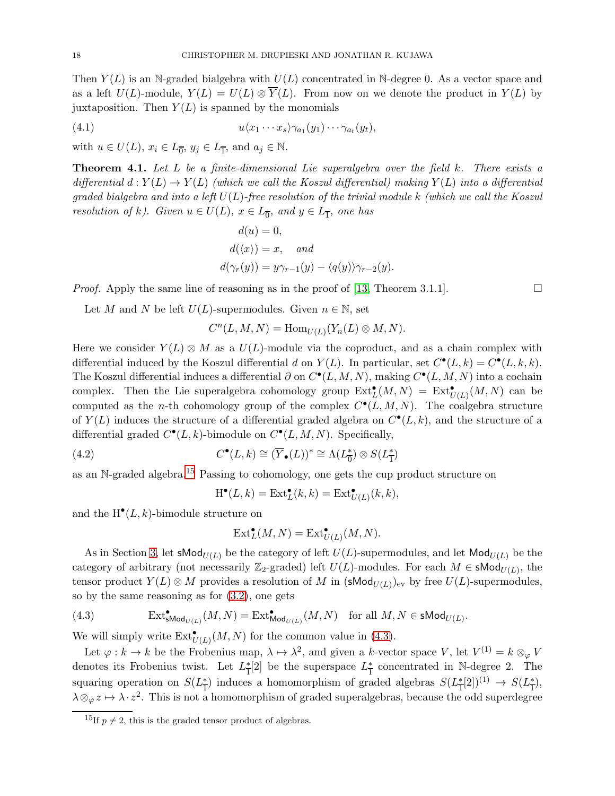Then  $Y(L)$  is an N-graded bialgebra with  $U(L)$  concentrated in N-degree 0. As a vector space and as a left  $U(L)$ -module,  $Y(L) = U(L) \otimes \overline{Y}(L)$ . From now on we denote the product in  $Y(L)$  by juxtaposition. Then  $Y(L)$  is spanned by the monomials

(4.1) 
$$
u\langle x_1\cdots x_s\rangle\gamma_{a_1}(y_1)\cdots\gamma_{a_t}(y_t),
$$

with  $u \in U(L)$ ,  $x_i \in L_{\overline{0}}$ ,  $y_j \in L_{\overline{1}}$ , and  $a_j \in \mathbb{N}$ .

<span id="page-17-0"></span>**Theorem 4.1.** Let  $L$  be a finite-dimensional Lie superalgebra over the field  $k$ . There exists a differential  $d: Y(L) \to Y(L)$  (which we call the Koszul differential) making  $Y(L)$  into a differential graded bialgebra and into a left  $U(L)$ -free resolution of the trivial module k (which we call the Koszul resolution of k). Given  $u \in U(L)$ ,  $x \in L_{\overline{0}}$ , and  $y \in L_{\overline{1}}$ , one has

$$
d(u) = 0,
$$
  
\n
$$
d(\langle x \rangle) = x, \quad and
$$
  
\n
$$
d(\gamma_r(y)) = y\gamma_{r-1}(y) - \langle q(y) \rangle \gamma_{r-2}(y).
$$

*Proof.* Apply the same line of reasoning as in the proof of [\[13,](#page-21-16) Theorem 3.1.1].

Let M and N be left  $U(L)$ -supermodules. Given  $n \in \mathbb{N}$ , set

$$
C^{n}(L, M, N) = \text{Hom}_{U(L)}(Y_n(L) \otimes M, N).
$$

Here we consider  $Y(L) \otimes M$  as a  $U(L)$ -module via the coproduct, and as a chain complex with differential induced by the Koszul differential d on  $Y(L)$ . In particular, set  $C^{\bullet}(L, k) = C^{\bullet}(L, k, k)$ . The Koszul differential induces a differential  $\partial$  on  $C^{\bullet}(L, M, N)$ , making  $C^{\bullet}(L, M, N)$  into a cochain complex. Then the Lie superalgebra cohomology group  $\text{Ext}^{\bullet}_L(M,N) = \text{Ext}^{\bullet}_{U(L)}(M,N)$  can be computed as the *n*-th cohomology group of the complex  $C^{\bullet}(L, M, N)$ . The coalgebra structure of  $Y(L)$  induces the structure of a differential graded algebra on  $C^{\bullet}(L, k)$ , and the structure of a differential graded  $C^{\bullet}(L, k)$ -bimodule on  $C^{\bullet}(L, M, N)$ . Specifically,

(4.2) 
$$
C^{\bullet}(L,k) \cong (\overline{Y}_{\bullet}(L))^* \cong \Lambda(L_0^*) \otimes S(L_1^*)
$$

as an N-graded algebra.[15](#page-17-1) Passing to cohomology, one gets the cup product structure on

<span id="page-17-3"></span>
$$
H^{\bullet}(L,k) = Ext_L^{\bullet}(k,k) = Ext_{U(L)}^{\bullet}(k,k),
$$

and the  $H^{\bullet}(L, k)$ -bimodule structure on

$$
\operatorname{Ext}^{\bullet}_L(M, N) = \operatorname{Ext}^{\bullet}_{U(L)}(M, N).
$$

As in Section [3,](#page-7-0) let sMod<sub>U(L)</sub> be the category of left  $U(L)$ -supermodules, and let Mod<sub>U(L)</sub> be the category of arbitrary (not necessarily  $\mathbb{Z}_2$ -graded) left  $U(L)$ -modules. For each  $M \in \mathsf{sMod}_{U(L)}$ , the tensor product  $Y(L) \otimes M$  provides a resolution of M in  $(\mathsf{sMod}_{U(L)})_{\text{ev}}$  by free  $U(L)$ -supermodules, so by the same reasoning as for [\(3.2\)](#page-8-3), one gets

<span id="page-17-2"></span>(4.3) 
$$
\operatorname{Ext}^{\bullet}_{\mathsf{SMod}_{U(L)}}(M,N) = \operatorname{Ext}^{\bullet}_{\mathsf{Mod}_{U(L)}}(M,N) \quad \text{for all } M,N \in \mathsf{sMod}_{U(L)}.
$$

We will simply write  $\text{Ext}^{\bullet}_{U(L)}(M,N)$  for the common value in [\(4.3\)](#page-17-2).

Let  $\varphi : k \to k$  be the Frobenius map,  $\lambda \mapsto \lambda^2$ , and given a k-vector space V, let  $V^{(1)} = k \otimes_{\varphi} V$ denotes its Frobenius twist. Let  $L^*$  $\frac{1}{1}[2]$  be the superspace  $L_{\frac{1}{1}}$  $\frac{*}{1}$  concentrated in N-degree 2. The squaring operation on  $S(L^*_{\overline{1}})$ <sup>\*</sup>/<sub>1</sub>) induces a homomorphism of graded algebras  $S(L^*_{\overline{1}})$  $\frac{1}{1}[2]^{(1)} \rightarrow S(L_{\overline{1}}^*)$  $_{1}^{*}),$  $\lambda \otimes_{\varphi} z \mapsto \lambda \cdot z^2$ . This is not a homomorphism of graded superalgebras, because the odd superdegree

<span id="page-17-1"></span> $\frac{15}{15}$  if  $p \neq 2$ , this is the graded tensor product of algebras.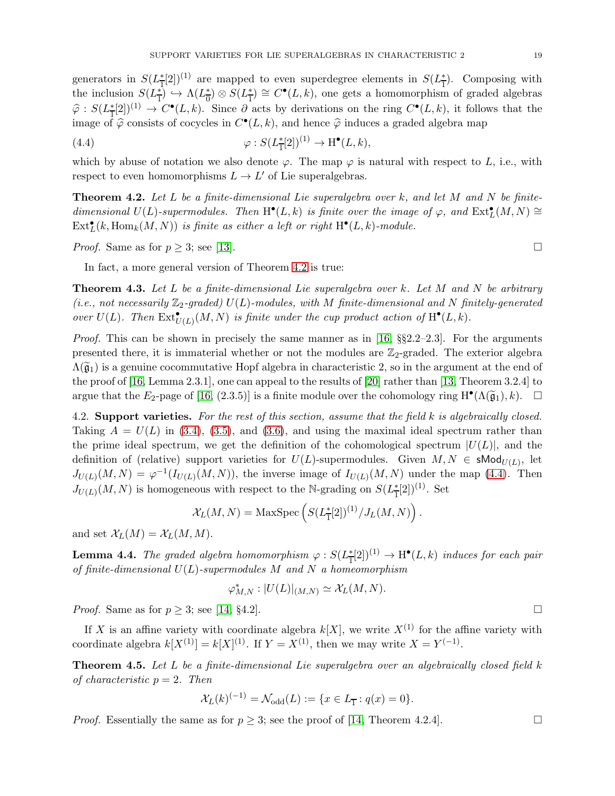generators in  $S(L^*_{\overline{1}})$  $\frac{1}{2}[2]^{(1)}$  are mapped to even superdegree elements in  $S(L^*_{\overline{1}})$  $\frac{*}{1}$ . Composing with the inclusion  $S(L_{\overline{1}}^*)$  $\frac{1}{1}$   $\rightarrow \Lambda (L_0^*$  $\frac{*}{0}$ ) ⊗  $S(L_{\overline{1}}^*)$  $\frac{1}{1}$  ≥  $C^{\bullet}(L,k)$ , one gets a homomorphism of graded algebras  $\widehat{\varphi}$  :  $S(L_{\overline{1}}^{\ast}% ,\overline{L}_{\overline{1}}^{\ast})$  $(\frac{1}{2} [2])^{(1)} \to C^{\bullet}(L, k)$ . Since  $\partial$  acts by derivations on the ring  $C^{\bullet}(L, k)$ , it follows that the image of  $\hat{\varphi}$  consists of cocycles in  $C^{\bullet}(L, k)$ , and hence  $\hat{\varphi}$  induces a graded algebra map

<span id="page-18-2"></span>(4.4) 
$$
\varphi: S(L_{\mathbb{T}}^*[2])^{(1)} \to \mathrm{H}^\bullet(L,k),
$$

which by abuse of notation we also denote  $\varphi$ . The map  $\varphi$  is natural with respect to L, i.e., with respect to even homomorphisms  $L \to L'$  of Lie superalgebras.

<span id="page-18-1"></span>**Theorem 4.2.** Let L be a finite-dimensional Lie superalgebra over k, and let M and N be finitedimensional  $U(L)$ -supermodules. Then  $H^{\bullet}(L,k)$  is finite over the image of  $\varphi$ , and  $Ext^{\bullet}_L(M,N) \cong$  $\mathrm{Ext}^{\bullet}_L(k, \mathrm{Hom}_k(M,N))$  is finite as either a left or right  $\mathrm{H}^{\bullet}(L,k)$ -module.

*Proof.* Same as for  $p \geq 3$ ; see [\[13\]](#page-21-16).

In fact, a more general version of Theorem [4.2](#page-18-1) is true:

<span id="page-18-3"></span>**Theorem 4.3.** Let L be a finite-dimensional Lie superalgebra over k. Let M and N be arbitrary (i.e., not necessarily  $\mathbb{Z}_2$ -graded)  $U(L)$ -modules, with M finite-dimensional and N finitely-generated over  $U(L)$ . Then  $\text{Ext}^{\bullet}_{U(L)}(M, N)$  is finite under the cup product action of  $\text{H}^{\bullet}(L, k)$ .

*Proof.* This can be shown in precisely the same manner as in [\[16,](#page-21-4)  $\S2.2-2.3$ ]. For the arguments presented there, it is immaterial whether or not the modules are  $\mathbb{Z}_2$ -graded. The exterior algebra  $\Lambda(\tilde{g}_1)$  is a genuine cocommutative Hopf algebra in characteristic 2, so in the argument at the end of the proof of [\[16,](#page-21-4) Lemma 2.3.1], one can appeal to the results of [\[20\]](#page-22-11) rather than [\[13,](#page-21-16) Theorem 3.2.4] to argue that the  $E_2$ -page of [\[16,](#page-21-4) (2.3.5)] is a finite module over the cohomology ring  $H^{\bullet}(\Lambda(\tilde{\mathfrak{g}}_1), k)$ .  $\Box$ 

4.2. Support varieties. For the rest of this section, assume that the field  $k$  is algebraically closed. Taking  $A = U(L)$  in [\(3.4\)](#page-9-4), [\(3.5\)](#page-9-5), and [\(3.6\)](#page-9-6), and using the maximal ideal spectrum rather than the prime ideal spectrum, we get the definition of the cohomological spectrum  $|U(L)|$ , and the definition of (relative) support varieties for  $U(L)$ -supermodules. Given  $M, N \in \mathsf{sMod}_{U(L)}$ , let  $J_{U(L)}(M, N) = \varphi^{-1}(I_{U(L)}(M, N))$ , the inverse image of  $I_{U(L)}(M, N)$  under the map [\(4.4\)](#page-18-2). Then  $J_{U(L)}(M, N)$  is homogeneous with respect to the N-grading on  $S(L^*_{\overline{1}})$  $\frac{\text{*}}{1}[2]$ <sup>(1)</sup>. Set

$$
\mathcal{X}_L(M,N) = \text{MaxSpec}\left(S(L_{\overline{1}}^*[2])^{(1)}/J_L(M,N)\right).
$$

and set  $\mathcal{X}_L(M) = \mathcal{X}_L(M,M)$ .

**Lemma 4.4.** The graded algebra homomorphism  $\varphi : S(L^*_{\overline{1}})$  $\frac{1}{1}[2]^{(1)} \rightarrow H^{\bullet}(L,k)$  induces for each pair of finite-dimensional  $U(L)$ -supermodules M and N a homeomorphism

$$
\varphi_{M,N}^* : |U(L)|_{(M,N)} \simeq \mathcal{X}_L(M,N).
$$

*Proof.* Same as for  $p \geq 3$ ; see [\[14,](#page-21-3) §4.2].

If X is an affine variety with coordinate algebra  $k[X]$ , we write  $X^{(1)}$  for the affine variety with coordinate algebra  $k[X^{(1)}] = k[X]^{(1)}$ . If  $Y = X^{(1)}$ , then we may write  $X = Y^{(-1)}$ .

<span id="page-18-0"></span>**Theorem 4.5.** Let L be a finite-dimensional Lie superalgebra over an algebraically closed field  $k$ of characteristic  $p = 2$ . Then

$$
\mathcal{X}_L(k)^{(-1)} = \mathcal{N}_{\text{odd}}(L) := \{ x \in L_{\overline{1}} : q(x) = 0 \}.
$$

*Proof.* Essentially the same as for  $p \geq 3$ ; see the proof of [\[14,](#page-21-3) Theorem 4.2.4].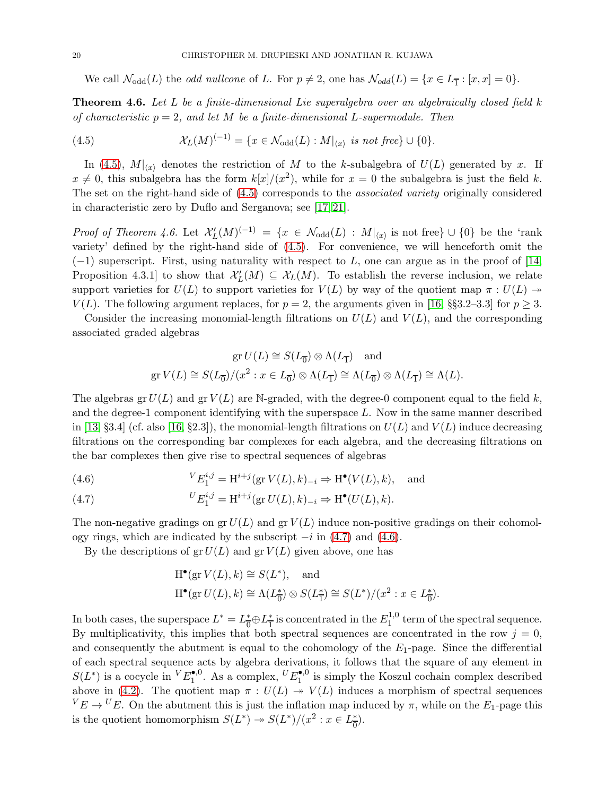We call  $\mathcal{N}_{odd}(L)$  the *odd nullcone* of L. For  $p \neq 2$ , one has  $\mathcal{N}_{odd}(L) = \{x \in L_{\overline{1}} : [x, x] = 0\}.$ 

<span id="page-19-0"></span>**Theorem 4.6.** Let  $L$  be a finite-dimensional Lie superalgebra over an algebraically closed field  $k$ of characteristic  $p = 2$ , and let M be a finite-dimensional L-supermodule. Then

<span id="page-19-1"></span>(4.5) 
$$
\mathcal{X}_L(M)^{(-1)} = \{x \in \mathcal{N}_{\text{odd}}(L) : M|_{\langle x \rangle} \text{ is not free}\} \cup \{0\}.
$$

In [\(4.5\)](#page-19-1),  $M|_{\langle x \rangle}$  denotes the restriction of M to the k-subalgebra of  $U(L)$  generated by x. If  $x \neq 0$ , this subalgebra has the form  $k[x]/(x^2)$ , while for  $x = 0$  the subalgebra is just the field k. The set on the right-hand side of [\(4.5\)](#page-19-1) corresponds to the associated variety originally considered in characteristic zero by Duflo and Serganova; see [\[17,](#page-21-17) [21\]](#page-22-12).

Proof of Theorem 4.6. Let  $\mathcal{X}'_L(M)^{(-1)} = \{x \in \mathcal{N}_{odd}(L) : M|_{\langle x \rangle} \text{ is not free}\} \cup \{0\}$  be the 'rank variety' defined by the right-hand side of [\(4.5\)](#page-19-1). For convenience, we will henceforth omit the  $(-1)$  superscript. First, using naturality with respect to L, one can argue as in the proof of [\[14,](#page-21-3) Proposition 4.3.1 to show that  $\mathcal{X}'_L(M) \subseteq \mathcal{X}_L(M)$ . To establish the reverse inclusion, we relate support varieties for  $U(L)$  to support varieties for  $V(L)$  by way of the quotient map  $\pi : U(L) \rightarrow$  $V(L)$ . The following argument replaces, for  $p = 2$ , the arguments given in [\[16,](#page-21-4) §§3.2–3.3] for  $p \geq 3$ .

Consider the increasing monomial-length filtrations on  $U(L)$  and  $V(L)$ , and the corresponding associated graded algebras

$$
\operatorname{gr} U(L) \cong S(L_{\overline{0}}) \otimes \Lambda(L_{\overline{1}}) \quad \text{and}
$$
  

$$
\operatorname{gr} V(L) \cong S(L_{\overline{0}})/(x^2 : x \in L_{\overline{0}}) \otimes \Lambda(L_{\overline{1}}) \cong \Lambda(L_{\overline{0}}) \otimes \Lambda(L_{\overline{1}}) \cong \Lambda(L).
$$

The algebras gr  $U(L)$  and gr  $V(L)$  are N-graded, with the degree-0 component equal to the field k, and the degree-1 component identifying with the superspace L. Now in the same manner described in [\[13,](#page-21-16) §3.4] (cf. also [\[16,](#page-21-4) §2.3]), the monomial-length filtrations on  $U(L)$  and  $V(L)$  induce decreasing filtrations on the corresponding bar complexes for each algebra, and the decreasing filtrations on the bar complexes then give rise to spectral sequences of algebras

<span id="page-19-3"></span>(4.6) 
$$
{}^{V}E_{1}^{i,j} = H^{i+j}(\text{gr } V(L), k)_{-i} \Rightarrow H^{\bullet}(V(L), k), \text{ and}
$$

<span id="page-19-2"></span>(4.7) 
$$
{}^{U}E_1^{i,j} = \mathrm{H}^{i+j}(\mathrm{gr}\, U(L), k)_{-i} \Rightarrow \mathrm{H}^{\bullet}(U(L), k).
$$

The non-negative gradings on gr $U(L)$  and gr  $V(L)$  induce non-positive gradings on their cohomology rings, which are indicated by the subscript  $-i$  in [\(4.7\)](#page-19-2) and [\(4.6\)](#page-19-3).

By the descriptions of  $gr U(L)$  and  $gr V(L)$  given above, one has

$$
\begin{aligned} \mathcal{H}^\bullet(\text{gr}\,V(L),k)&\cong S(L^*),\quad\text{and}\\ \mathcal{H}^\bullet(\text{gr}\,U(L),k)&\cong \Lambda(L_0^*)\otimes S(L_1^*)\cong S(L^*)/(x^2:x\in L_0^*). \end{aligned}
$$

In both cases, the superspace  $L^* = L^*_{\overline{\Omega}}$  $\frac{1}{0} \oplus L^*_{\overline{1}}$  $\frac{*}{1}$  is concentrated in the  $E_1^{1,0}$  $1^{1,0}_{1}$  term of the spectral sequence. By multiplicativity, this implies that both spectral sequences are concentrated in the row  $j = 0$ , and consequently the abutment is equal to the cohomology of the  $E_1$ -page. Since the differential of each spectral sequence acts by algebra derivations, it follows that the square of any element in  $S(L^*)$  is a cocycle in  $V_{\mathbb{F}_1^{\bullet,0}}$ <sup>•,0</sup>. As a complex,  $U E_1^{\bullet,0}$  $\mathbf{I}^{\bullet,0}$  is simply the Koszul cochain complex described above in [\(4.2\)](#page-17-3). The quotient map  $\pi: U(L) \rightarrow V(L)$  induces a morphism of spectral sequences  ${}^VE \rightarrow {}^VE$ . On the abutment this is just the inflation map induced by  $\pi$ , while on the  $E_1$ -page this is the quotient homomorphism  $S(L^*) \to S(L^*)/(x^2 : x \in L^*_{\overline{0}})$  $\frac{1}{0}$ .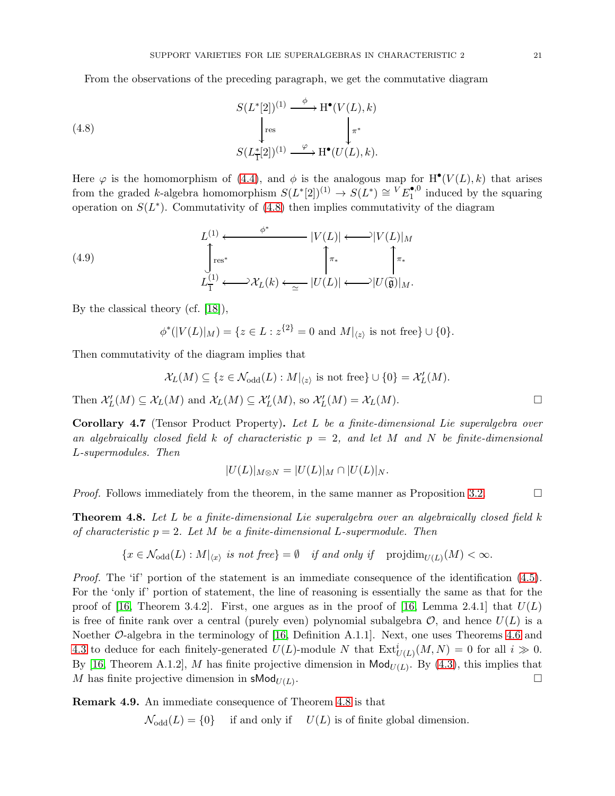<span id="page-20-2"></span>From the observations of the preceding paragraph, we get the commutative diagram

(4.8)  
\n
$$
S(L^*[2])^{(1)} \xrightarrow{\phi} H^{\bullet}(V(L), k)
$$
\n
$$
\downarrow_{\text{res}} \qquad \qquad \downarrow_{\pi^*}
$$
\n
$$
S(L^*_{\overline{1}}[2])^{(1)} \xrightarrow{\varphi} H^{\bullet}(U(L), k).
$$

Here  $\varphi$  is the homomorphism of [\(4.4\)](#page-18-2), and  $\phi$  is the analogous map for  $H^{\bullet}(V(L), k)$  that arises from the graded k-algebra homomorphism  $S(L^*[2])^{(1)} \to S(L^*) \cong {}^V E_1^{\bullet,0}$  $\mathbf{I}^{\bullet,0}$  induced by the squaring operation on  $S(L^*)$ . Commutativity of [\(4.8\)](#page-20-2) then implies commutativity of the diagram

(4.9) 
$$
L^{(1)} \longleftrightarrow \begin{cases} E^{(1)} & \xrightarrow{\phi^*} |V(L)| \longleftrightarrow |V(L)|_M \\ \text{res}^* & \xrightarrow{\pi^*} \begin{cases} \pi_* & \xrightarrow{\pi^*} \\ \text{res}^* & |U(L)| \longleftrightarrow |U(\widetilde{\mathfrak{g}})|_M. \end{cases}
$$

By the classical theory (cf. [\[18\]](#page-21-0)),

$$
\phi^*(|V(L)|_M) = \{ z \in L : z^{\{2\}} = 0 \text{ and } M|_{\langle z \rangle} \text{ is not free} \} \cup \{0\}.
$$

Then commutativity of the diagram implies that

$$
\mathcal{X}_L(M)\subseteq \{z\in \mathcal{N}_\mathrm{odd}(L): M|_{\langle z\rangle} \text{ is not free}\}\cup \{0\}=\mathcal{X}'_L(M).
$$

Then  $\mathcal{X}'_L(M) \subseteq \mathcal{X}_L(M)$  and  $\mathcal{X}_L(M) \subseteq \mathcal{X}'_L(M)$ , so  $\mathcal{X}'_L(M) = \mathcal{X}_L(M)$ .

<span id="page-20-0"></span>Corollary 4.7 (Tensor Product Property). Let L be a finite-dimensional Lie superalgebra over an algebraically closed field k of characteristic  $p = 2$ , and let M and N be finite-dimensional L-supermodules. Then

$$
|U(L)|_{M\otimes N}=|U(L)|_M\cap |U(L)|_N.
$$

*Proof.* Follows immediately from the theorem, in the same manner as Proposition [3.2.](#page-10-0)

<span id="page-20-1"></span>**Theorem 4.8.** Let L be a finite-dimensional Lie superalgebra over an algebraically closed field k of characteristic  $p = 2$ . Let M be a finite-dimensional L-supermodule. Then

$$
\{x \in \mathcal{N}_{odd}(L) : M|_{\langle x \rangle} \text{ is not free}\} = \emptyset \quad \text{if and only if} \quad \text{projdim}_{U(L)}(M) < \infty.
$$

Proof. The 'if' portion of the statement is an immediate consequence of the identification  $(4.5)$ . For the 'only if' portion of statement, the line of reasoning is essentially the same as that for the proof of [\[16,](#page-21-4) Theorem 3.4.2]. First, one argues as in the proof of [16, Lemma 2.4.1] that  $U(L)$ is free of finite rank over a central (purely even) polynomial subalgebra  $\mathcal{O}$ , and hence  $U(L)$  is a Noether O-algebra in the terminology of [\[16,](#page-21-4) Definition A.1.1]. Next, one uses Theorems [4.6](#page-19-0) and [4.3](#page-18-3) to deduce for each finitely-generated  $U(L)$ -module N that  $\text{Ext}^i_{U(L)}(M,N) = 0$  for all  $i \gg 0$ . By [\[16,](#page-21-4) Theorem A.1.2], M has finite projective dimension in  $\mathsf{Mod}_{U(L)}$ . By [\(4.3\)](#page-17-2), this implies that M has finite projective dimension in  $\mathsf{sMod}_{U(L)}$ . .

Remark 4.9. An immediate consequence of Theorem [4.8](#page-20-1) is that

 $\mathcal{N}_{odd}(L) = \{0\}$  if and only if  $U(L)$  is of finite global dimension.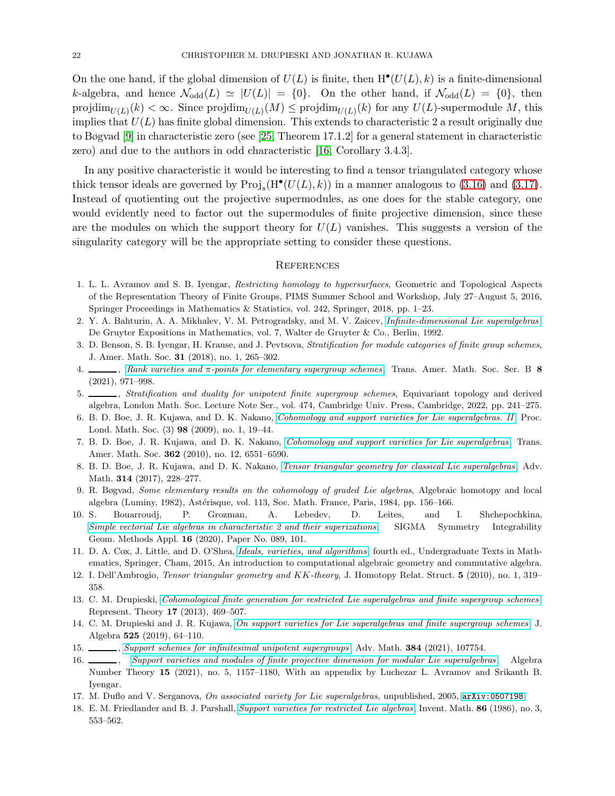On the one hand, if the global dimension of  $U(L)$  is finite, then  $H^{\bullet}(U(L), k)$  is a finite-dimensional k-algebra, and hence  $\mathcal{N}_{odd}(L) \simeq |U(L)| = \{0\}$ . On the other hand, if  $\mathcal{N}_{odd}(L) = \{0\}$ , then  $projdim_{U(L)}(k) < \infty$ . Since  $projdim_{U(L)}(M) \leq projdim_{U(L)}(k)$  for any  $U(L)$ -supermodule M, this implies that  $U(L)$  has finite global dimension. This extends to characteristic 2 a result originally due to Bøgvad [\[9\]](#page-21-10) in characteristic zero (see [\[25,](#page-22-1) Theorem 17.1.2] for a general statement in characteristic zero) and due to the authors in odd characteristic [\[16,](#page-21-4) Corollary 3.4.3].

In any positive characteristic it would be interesting to find a tensor triangulated category whose thick tensor ideals are governed by  $\text{Proj}_s(H^{\bullet}(U(L), k))$  in a manner analogous to [\(3.16\)](#page-15-1) and [\(3.17\)](#page-15-2). Instead of quotienting out the projective supermodules, as one does for the stable category, one would evidently need to factor out the supermodules of finite projective dimension, since these are the modules on which the support theory for  $U(L)$  vanishes. This suggests a version of the singularity category will be the appropriate setting to consider these questions.

## **REFERENCES**

- <span id="page-21-14"></span>1. L. L. Avramov and S. B. Iyengar, Restricting homology to hypersurfaces, Geometric and Topological Aspects of the Representation Theory of Finite Groups, PIMS Summer School and Workshop, July 27–August 5, 2016, Springer Proceedings in Mathematics & Statistics, vol. 242, Springer, 2018, pp. 1–23.
- <span id="page-21-12"></span><span id="page-21-9"></span>2. Y. A. Bahturin, A. A. Mikhalev, V. M. Petrogradsky, and M. V. Zaicev, [Infinite-dimensional Lie superalgebras](https://doi.org/10.1515/9783110851205), De Gruyter Expositions in Mathematics, vol. 7, Walter de Gruyter & Co., Berlin, 1992.
- 3. D. Benson, S. B. Iyengar, H. Krause, and J. Pevtsova, Stratification for module categories of finite group schemes, J. Amer. Math. Soc. 31 (2018), no. 1, 265–302.
- <span id="page-21-5"></span>4. , Rank varieties and π[-points for elementary supergroup schemes](https://doi.org/10.1090/btran/74), Trans. Amer. Math. Soc. Ser. B 8 (2021), 971–998.
- <span id="page-21-6"></span>5. \_\_\_\_\_\_, Stratification and duality for unipotent finite supergroup schemes, Equivariant topology and derived algebra, London Math. Soc. Lecture Note Ser., vol. 474, Cambridge Univ. Press, Cambridge, 2022, pp. 241–275.
- <span id="page-21-11"></span><span id="page-21-1"></span>6. B. D. Boe, J. R. Kujawa, and D. K. Nakano, [Cohomology and support varieties for Lie superalgebras. II](https://doi-org.ezproxy.lib.ou.edu/10.1112/plms/pdn019), Proc. Lond. Math. Soc. (3) 98 (2009), no. 1, 19–44.
- <span id="page-21-2"></span>7. B. D. Boe, J. R. Kujawa, and D. K. Nakano, [Cohomology and support varieties for Lie superalgebras](http://dx.doi.org/10.1090/S0002-9947-2010-05096-2) , Trans. Amer. Math. Soc. 362 (2010), no. 12, 6551–6590.
- 8. B. D. Boe, J. R. Kujawa, and D. K. Nakano, [Tensor triangular geometry for classical Lie superalgebras](http://dx.doi.org/10.1016/j.aim.2017.04.022) , Adv. Math. 314 (2017), 228–277.
- <span id="page-21-10"></span>9. R. Bøgvad, Some elementary results on the cohomology of graded Lie algebras, Algebraic homotopy and local algebra (Luminy, 1982), Astérisque, vol. 113, Soc. Math. France, Paris, 1984, pp. 156–166.
- <span id="page-21-7"></span>10. S. Bouarroudj, P. Grozman, A. Lebedev, D. Leites, and I. Shchepochkina, [Simple vectorial Lie algebras in characteristic 2 and their](https://doi.org/10.3842/SIGMA.2020.089) superizations, SIGMA Symmetry Integrability Geom. Methods Appl. 16 (2020), Paper No. 089, 101.
- <span id="page-21-15"></span>11. D. A. Cox, J. Little, and D. O'Shea, [Ideals, varieties, and algorithms](https://doi.org/10.1007/978-3-319-16721-3), fourth ed., Undergraduate Texts in Mathematics, Springer, Cham, 2015, An introduction to computational algebraic geometry and commutative algebra.
- <span id="page-21-16"></span><span id="page-21-8"></span>12. I. Dell'Ambrogio, Tensor triangular geometry and KK-theory, J. Homotopy Relat. Struct. 5 (2010), no. 1, 319– 358.
- 13. C. M. Drupieski, [Cohomological finite generation for restricted Lie superalgebras and finite supergroup schemes](http://dx.doi.org/10.1090/S1088-4165-2013-00440-5), Represent. Theory 17 (2013), 469–507.
- <span id="page-21-3"></span>14. C. M. Drupieski and J. R. Kujawa, [On support varieties for Lie superalgebras and finite supergroup schemes](https://doi.org/10.1016/j.jalgebra.2018.12.033), J. Algebra 525 (2019), 64–110.
- <span id="page-21-13"></span><span id="page-21-4"></span>15. [Support schemes for infinitesimal unipotent supergroups](https://doi.org/10.1016/j.aim.2021.107754), Adv. Math. 384 (2021), 107754.
- 16. [Support varieties and modules of finite projective dimension for modular Lie superalgebras](https://doi.org/10.2140/ant.2021.15.1157), Algebra Number Theory 15 (2021), no. 5, 1157–1180, With an appendix by Luchezar L. Avramov and Srikanth B. Iyengar.
- <span id="page-21-17"></span><span id="page-21-0"></span>17. M. Duflo and V. Serganova, On associated variety for Lie superalgebras, unpublished, 2005, [arXiv:0507198](http://arxiv.org/abs/0507198).
- 18. E. M. Friedlander and B. J. Parshall, [Support varieties for restricted Lie algebras](http://dx.doi.org/10.1007/BF01389268), Invent. Math. 86 (1986), no. 3, 553–562.